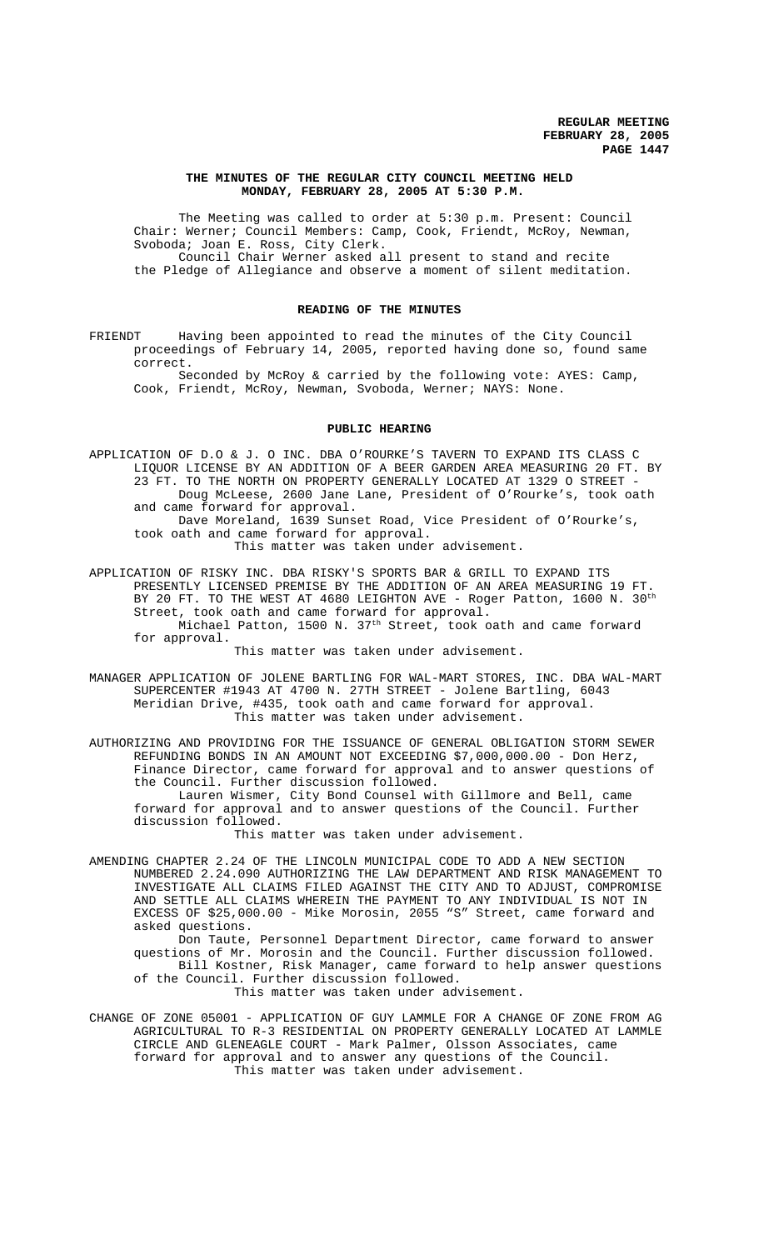## **THE MINUTES OF THE REGULAR CITY COUNCIL MEETING HELD MONDAY, FEBRUARY 28, 2005 AT 5:30 P.M.**

The Meeting was called to order at 5:30 p.m. Present: Council Chair: Werner; Council Members: Camp, Cook, Friendt, McRoy, Newman, Svoboda; Joan E. Ross, City Clerk. Council Chair Werner asked all present to stand and recite the Pledge of Allegiance and observe a moment of silent meditation.

#### **READING OF THE MINUTES**

FRIENDT Having been appointed to read the minutes of the City Council proceedings of February 14, 2005, reported having done so, found same correct.

Seconded by McRoy & carried by the following vote: AYES: Camp, Cook, Friendt, McRoy, Newman, Svoboda, Werner; NAYS: None.

## **PUBLIC HEARING**

APPLICATION OF D.O & J. O INC. DBA O'ROURKE'S TAVERN TO EXPAND ITS CLASS C LIQUOR LICENSE BY AN ADDITION OF A BEER GARDEN AREA MEASURING 20 FT. BY 23 FT. TO THE NORTH ON PROPERTY GENERALLY LOCATED AT 1329 O STREET - Doug McLeese, 2600 Jane Lane, President of O'Rourke's, took oath and came forward for approval. Dave Moreland, 1639 Sunset Road, Vice President of O'Rourke's,

took oath and came forward for approval. This matter was taken under advisement.

APPLICATION OF RISKY INC. DBA RISKY'S SPORTS BAR & GRILL TO EXPAND ITS PRESENTLY LICENSED PREMISE BY THE ADDITION OF AN AREA MEASURING 19 FT. BY 20 FT. TO THE WEST AT 4680 LEIGHTON AVE - Roger Patton, 1600 N. 30<sup>th</sup> Street, took oath and came forward for approval. Michael Patton, 1500 N. 37<sup>th</sup> Street, took oath and came forward for approval.

This matter was taken under advisement.

MANAGER APPLICATION OF JOLENE BARTLING FOR WAL-MART STORES, INC. DBA WAL-MART SUPERCENTER #1943 AT 4700 N. 27TH STREET - Jolene Bartling, 6043 Meridian Drive, #435, took oath and came forward for approval. This matter was taken under advisement.

AUTHORIZING AND PROVIDING FOR THE ISSUANCE OF GENERAL OBLIGATION STORM SEWER REFUNDING BONDS IN AN AMOUNT NOT EXCEEDING \$7,000,000.00 - Don Herz, Finance Director, came forward for approval and to answer questions of the Council. Further discussion followed.

Lauren Wismer, City Bond Counsel with Gillmore and Bell, came forward for approval and to answer questions of the Council. Further discussion followed.

This matter was taken under advisement.

AMENDING CHAPTER 2.24 OF THE LINCOLN MUNICIPAL CODE TO ADD A NEW SECTION NUMBERED 2.24.090 AUTHORIZING THE LAW DEPARTMENT AND RISK MANAGEMENT TO INVESTIGATE ALL CLAIMS FILED AGAINST THE CITY AND TO ADJUST, COMPROMISE AND SETTLE ALL CLAIMS WHEREIN THE PAYMENT TO ANY INDIVIDUAL IS NOT IN EXCESS OF \$25,000.00 - Mike Morosin, 2055 "S" Street, came forward and asked questions.

Don Taute, Personnel Department Director, came forward to answer questions of Mr. Morosin and the Council. Further discussion followed. Bill Kostner, Risk Manager, came forward to help answer questions of the Council. Further discussion followed. This matter was taken under advisement.

CHANGE OF ZONE 05001 - APPLICATION OF GUY LAMMLE FOR A CHANGE OF ZONE FROM AG AGRICULTURAL TO R-3 RESIDENTIAL ON PROPERTY GENERALLY LOCATED AT LAMMLE CIRCLE AND GLENEAGLE COURT - Mark Palmer, Olsson Associates, came forward for approval and to answer any questions of the Council. This matter was taken under advisement.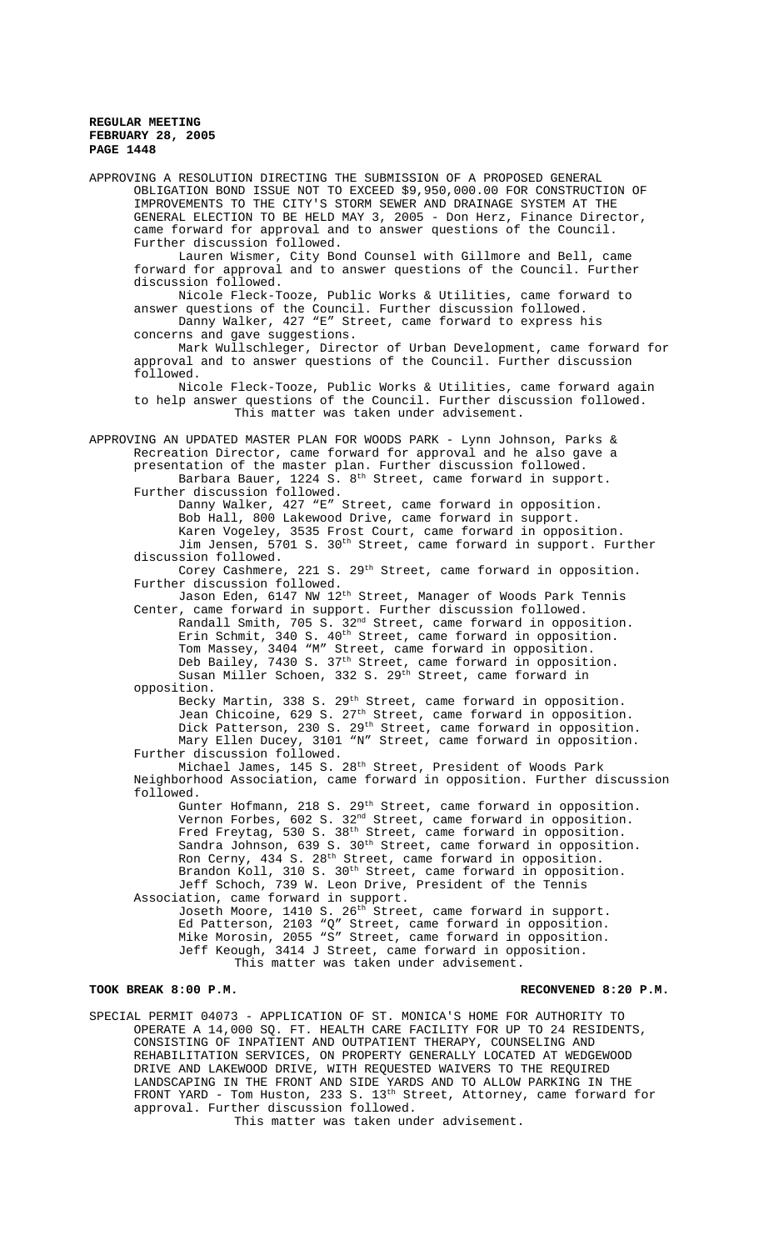APPROVING A RESOLUTION DIRECTING THE SUBMISSION OF A PROPOSED GENERAL OBLIGATION BOND ISSUE NOT TO EXCEED \$9,950,000.00 FOR CONSTRUCTION OF IMPROVEMENTS TO THE CITY'S STORM SEWER AND DRAINAGE SYSTEM AT THE GENERAL ELECTION TO BE HELD MAY 3, 2005 - Don Herz, Finance Director, came forward for approval and to answer questions of the Council. Further discussion followed. Lauren Wismer, City Bond Counsel with Gillmore and Bell, came forward for approval and to answer questions of the Council. Further discussion followed. Nicole Fleck-Tooze, Public Works & Utilities, came forward to answer questions of the Council. Further discussion followed. Danny Walker, 427 "E" Street, came forward to express his concerns and gave suggestions. Mark Wullschleger, Director of Urban Development, came forward for approval and to answer questions of the Council. Further discussion followed. Nicole Fleck-Tooze, Public Works & Utilities, came forward again to help answer questions of the Council. Further discussion followed. This matter was taken under advisement. APPROVING AN UPDATED MASTER PLAN FOR WOODS PARK - Lynn Johnson, Parks & Recreation Director, came forward for approval and he also gave a presentation of the master plan. Further discussion followed. Barbara Bauer, 1224 S.  $8<sup>th</sup>$  Street, came forward in support. Further discussion followed. Danny Walker, 427 "E" Street, came forward in opposition. Bob Hall, 800 Lakewood Drive, came forward in support. Karen Vogeley, 3535 Frost Court, came forward in opposition. Jim Jensen, 5701 S. 30<sup>th</sup> Street, came forward in support. Further discussion followed. Corey Cashmere, 221 S. 29<sup>th</sup> Street, came forward in opposition. Further discussion followed. Jason Eden, 6147 NW 12<sup>th</sup> Street, Manager of Woods Park Tennis Center, came forward in support. Further discussion followed. Randall Smith, 705 S. 32nd Street, came forward in opposition. Erin Schmit, 340 S. 40<sup>th</sup> Street, came forward in opposition. Tom Massey, 3404 "M" Street, came forward in opposition. Deb Bailey, 7430 S. 37<sup>th</sup> Street, came forward in opposition. Susan Miller Schoen, 332 S. 29<sup>th</sup> Street, came forward in opposition. Becky Martin, 338 S. 29<sup>th</sup> Street, came forward in opposition. Jean Chicoine, 629 S. 27<sup>th</sup> Street, came forward in opposition. Dick Patterson, 230 S. 29th Street, came forward in opposition. Mary Ellen Ducey, 3101 "N" Street, came forward in opposition. Further discussion followed. Michael James, 145 S. 28th Street, President of Woods Park Neighborhood Association, came forward in opposition. Further discussion followed. Gunter Hofmann, 218 S. 29<sup>th</sup> Street, came forward in opposition. Vernon Forbes, 602 S.  $32^{\text{nd}}$  Street, came forward in opposition. Fred Freytag, 530 S. 38<sup>th</sup> Street, came forward in opposition. Sandra Johnson, 639 S. 30<sup>th</sup> Street, came forward in opposition. Ron Cerny, 434 S. 28<sup>th</sup> Street, came forward in opposition. Brandon Koll, 310 S. 30<sup>th</sup> Street, came forward in opposition. Jeff Schoch, 739 W. Leon Drive, President of the Tennis Association, came forward in support. Joseth Moore, 1410 S. 26<sup>th</sup> Street, came forward in support. Ed Patterson, 2103 "Q" Street, came forward in opposition. Mike Morosin, 2055 "S" Street, came forward in opposition. Jeff Keough, 3414 J Street, came forward in opposition. This matter was taken under advisement. TOOK BREAK 8:00 P.M. **RECONVENED 8:20 P.M.** RECONVENED 8:20 P.M.

SPECIAL PERMIT 04073 - APPLICATION OF ST. MONICA'S HOME FOR AUTHORITY TO OPERATE A 14,000 SQ. FT. HEALTH CARE FACILITY FOR UP TO 24 RESIDENTS, CONSISTING OF INPATIENT AND OUTPATIENT THERAPY, COUNSELING AND REHABILITATION SERVICES, ON PROPERTY GENERALLY LOCATED AT WEDGEWOOD DRIVE AND LAKEWOOD DRIVE, WITH REQUESTED WAIVERS TO THE REQUIRED LANDSCAPING IN THE FRONT AND SIDE YARDS AND TO ALLOW PARKING IN THE FRONT YARD - Tom Huston, 233 S. 13th Street, Attorney, came forward for approval. Further discussion followed.

This matter was taken under advisement.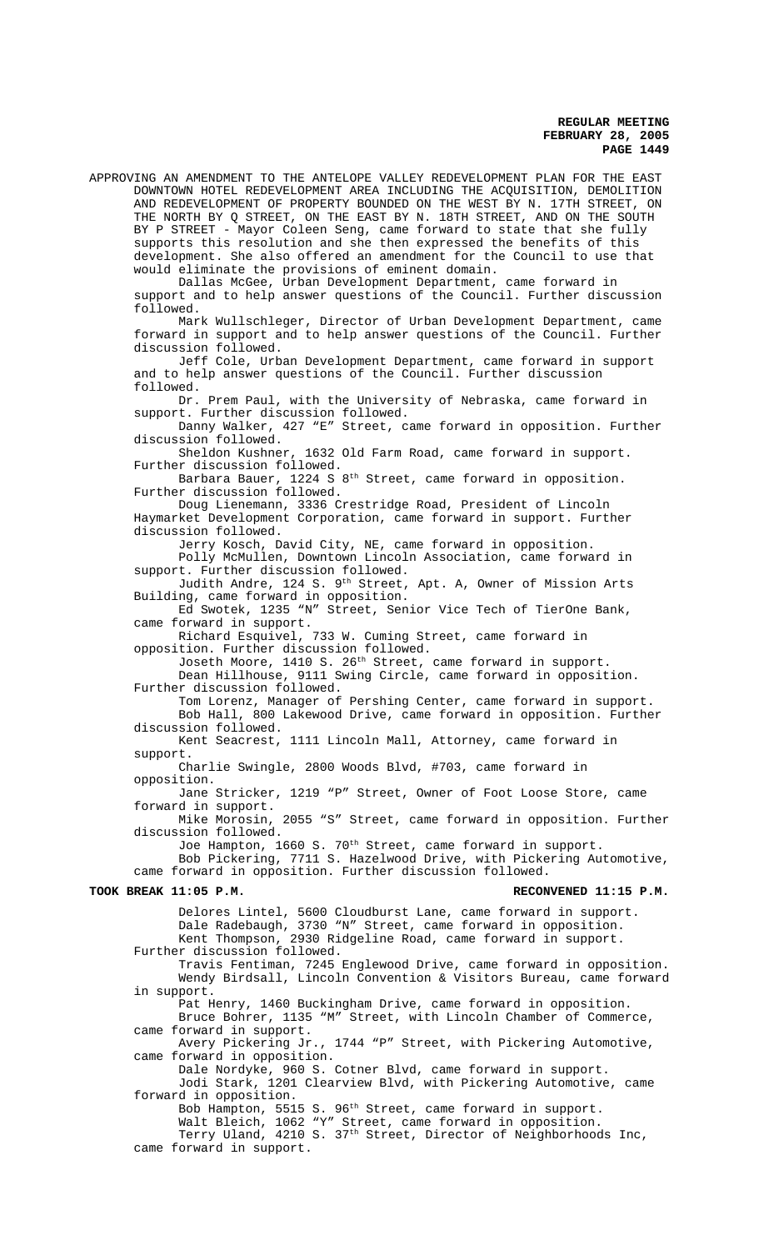APPROVING AN AMENDMENT TO THE ANTELOPE VALLEY REDEVELOPMENT PLAN FOR THE EAST DOWNTOWN HOTEL REDEVELOPMENT AREA INCLUDING THE ACQUISITION, DEMOLITION AND REDEVELOPMENT OF PROPERTY BOUNDED ON THE WEST BY N. 17TH STREET, ON THE NORTH BY Q STREET, ON THE EAST BY N. 18TH STREET, AND ON THE SOUTH BY P STREET - Mayor Coleen Seng, came forward to state that she fully supports this resolution and she then expressed the benefits of this development. She also offered an amendment for the Council to use that would eliminate the provisions of eminent domain.

Dallas McGee, Urban Development Department, came forward in support and to help answer questions of the Council. Further discussion followed.

Mark Wullschleger, Director of Urban Development Department, came forward in support and to help answer questions of the Council. Further discussion followed.

Jeff Cole, Urban Development Department, came forward in support and to help answer questions of the Council. Further discussion followed.

Dr. Prem Paul, with the University of Nebraska, came forward in support. Further discussion followed.

Danny Walker, 427 "E" Street, came forward in opposition. Further discussion followed.

Sheldon Kushner, 1632 Old Farm Road, came forward in support. Further discussion followed.

Barbara Bauer, 1224 S 8<sup>th</sup> Street, came forward in opposition. Further discussion followed.

Doug Lienemann, 3336 Crestridge Road, President of Lincoln Haymarket Development Corporation, came forward in support. Further discussion followed.

Jerry Kosch, David City, NE, came forward in opposition. Polly McMullen, Downtown Lincoln Association, came forward in support. Further discussion followed.

Judith Andre, 124 S. 9<sup>th</sup> Street, Apt. A, Owner of Mission Arts Building, came forward in opposition.

Ed Swotek, 1235 "N" Street, Senior Vice Tech of TierOne Bank, came forward in support.

Richard Esquivel, 733 W. Cuming Street, came forward in opposition. Further discussion followed.

Joseth Moore, 1410 S. 26<sup>th</sup> Street, came forward in support. Dean Hillhouse, 9111 Swing Circle, came forward in opposition. Further discussion followed.

Tom Lorenz, Manager of Pershing Center, came forward in support. Bob Hall, 800 Lakewood Drive, came forward in opposition. Further discussion followed.

Kent Seacrest, 1111 Lincoln Mall, Attorney, came forward in support.

Charlie Swingle, 2800 Woods Blvd, #703, came forward in opposition.

Jane Stricker, 1219 "P" Street, Owner of Foot Loose Store, came forward in support.

Mike Morosin, 2055 "S" Street, came forward in opposition. Further discussion followed.

Joe Hampton, 1660 S. 70<sup>th</sup> Street, came forward in support.

Bob Pickering, 7711 S. Hazelwood Drive, with Pickering Automotive, came forward in opposition. Further discussion followed.

### TOOK BREAK 11:05 P.M. **RECONVENED 11:15 P.M.**

Delores Lintel, 5600 Cloudburst Lane, came forward in support.

Dale Radebaugh, 3730 "N" Street, came forward in opposition. Kent Thompson, 2930 Ridgeline Road, came forward in support. Further discussion followed.

Travis Fentiman, 7245 Englewood Drive, came forward in opposition. Wendy Birdsall, Lincoln Convention & Visitors Bureau, came forward in support.

Pat Henry, 1460 Buckingham Drive, came forward in opposition. Bruce Bohrer, 1135 "M" Street, with Lincoln Chamber of Commerce, came forward in support.

Avery Pickering Jr., 1744 "P" Street, with Pickering Automotive, came forward in opposition.

Dale Nordyke, 960 S. Cotner Blvd, came forward in support. Jodi Stark, 1201 Clearview Blvd, with Pickering Automotive, came forward in opposition.

Bob Hampton, 5515 S. 96<sup>th</sup> Street, came forward in support. Walt Bleich, 1062 "Y" Street, came forward in opposition. Terry Uland, 4210 S. 37th Street, Director of Neighborhoods Inc, came forward in support.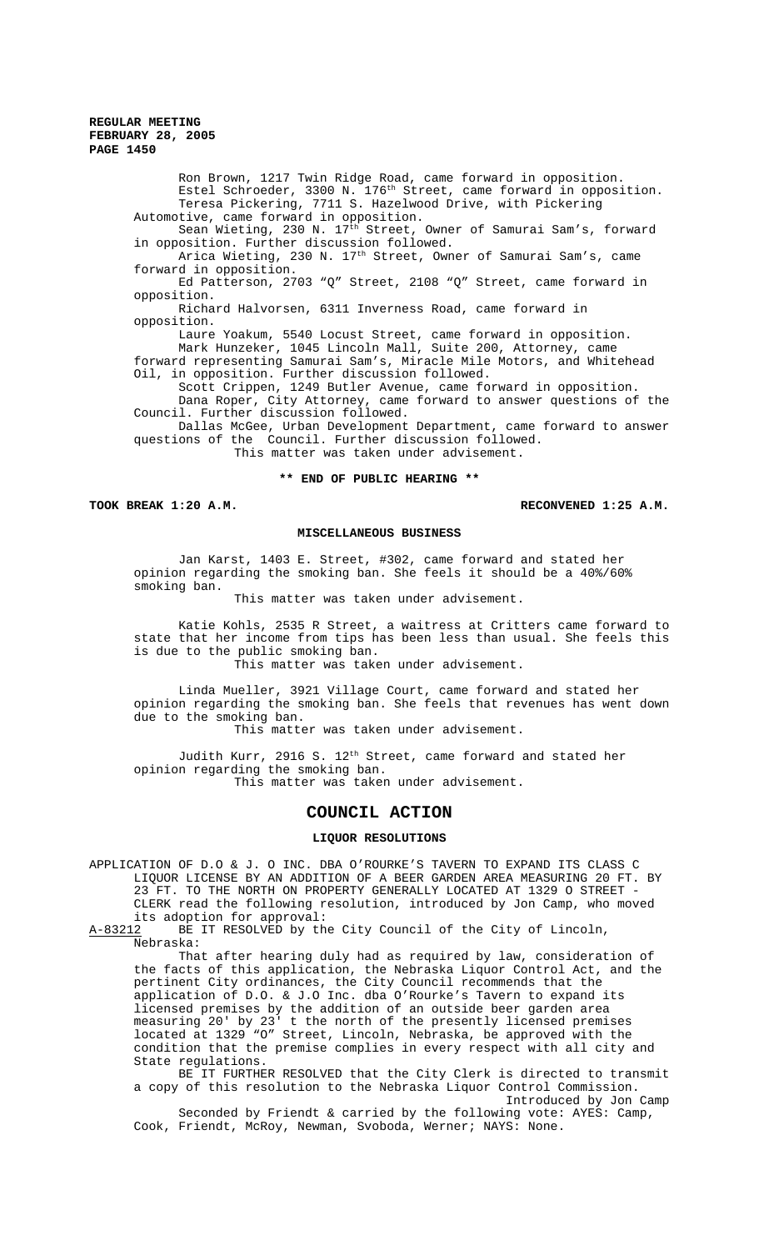Ron Brown, 1217 Twin Ridge Road, came forward in opposition. Estel Schroeder, 3300 N. 176th Street, came forward in opposition. Teresa Pickering, 7711 S. Hazelwood Drive, with Pickering Automotive, came forward in opposition. Sean Wieting, 230 N. 17th Street, Owner of Samurai Sam's, forward in opposition. Further discussion followed. Arica Wieting, 230 N. 17<sup>th</sup> Street, Owner of Samurai Sam's, came forward in opposition. Ed Patterson, 2703 "Q" Street, 2108 "Q" Street, came forward in opposition. Richard Halvorsen, 6311 Inverness Road, came forward in opposition.

Laure Yoakum, 5540 Locust Street, came forward in opposition. Mark Hunzeker, 1045 Lincoln Mall, Suite 200, Attorney, came forward representing Samurai Sam's, Miracle Mile Motors, and Whitehead Oil, in opposition. Further discussion followed.

Scott Crippen, 1249 Butler Avenue, came forward in opposition. Dana Roper, City Attorney, came forward to answer questions of the Council. Further discussion followed.

Dallas McGee, Urban Development Department, came forward to answer questions of the Council. Further discussion followed. This matter was taken under advisement.

### **\*\* END OF PUBLIC HEARING \*\***

**TOOK BREAK 1:20 A.M. RECONVENED 1:25 A.M.**

## **MISCELLANEOUS BUSINESS**

Jan Karst, 1403 E. Street, #302, came forward and stated her opinion regarding the smoking ban. She feels it should be a 40%/60% smoking ban.

This matter was taken under advisement.

Katie Kohls, 2535 R Street, a waitress at Critters came forward to state that her income from tips has been less than usual. She feels this is due to the public smoking ban.

This matter was taken under advisement.

Linda Mueller, 3921 Village Court, came forward and stated her opinion regarding the smoking ban. She feels that revenues has went down due to the smoking ban.

This matter was taken under advisement.

Judith Kurr, 2916 S. 12<sup>th</sup> Street, came forward and stated her opinion regarding the smoking ban. This matter was taken under advisement.

# **COUNCIL ACTION**

# **LIQUOR RESOLUTIONS**

APPLICATION OF D.O & J. O INC. DBA O'ROURKE'S TAVERN TO EXPAND ITS CLASS C LIQUOR LICENSE BY AN ADDITION OF A BEER GARDEN AREA MEASURING 20 FT. BY 23 FT. TO THE NORTH ON PROPERTY GENERALLY LOCATED AT 1329 O STREET - CLERK read the following resolution, introduced by Jon Camp, who moved its adoption for approval:<br>A-83212 BE IT RESOLVED by the

BE IT RESOLVED by the City Council of the City of Lincoln, Nebraska:

That after hearing duly had as required by law, consideration of the facts of this application, the Nebraska Liquor Control Act, and the pertinent City ordinances, the City Council recommends that the application of D.O. & J.O Inc. dba O'Rourke's Tavern to expand its licensed premises by the addition of an outside beer garden area measuring 20' by 23' t the north of the presently licensed premises located at 1329 "O" Street, Lincoln, Nebraska, be approved with the condition that the premise complies in every respect with all city and State regulations.

BE IT FURTHER RESOLVED that the City Clerk is directed to transmit a copy of this resolution to the Nebraska Liquor Control Commission. Introduced by Jon Camp

Seconded by Friendt & carried by the following vote: AYES: Camp, Cook, Friendt, McRoy, Newman, Svoboda, Werner; NAYS: None.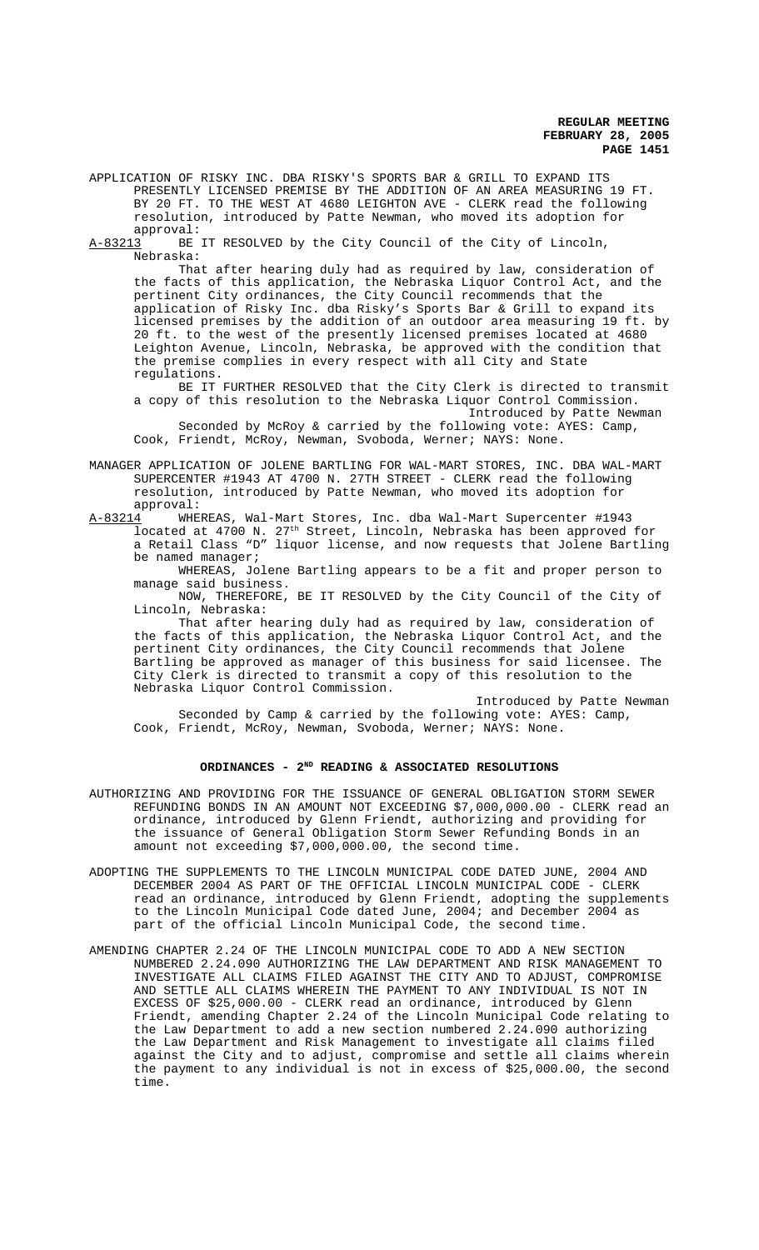APPLICATION OF RISKY INC. DBA RISKY'S SPORTS BAR & GRILL TO EXPAND ITS PRESENTLY LICENSED PREMISE BY THE ADDITION OF AN AREA MEASURING 19 FT. BY 20 FT. TO THE WEST AT 4680 LEIGHTON AVE - CLERK read the following resolution, introduced by Patte Newman, who moved its adoption for approval:

A-83213 BE IT RESOLVED by the City Council of the City of Lincoln, Nebraska:

That after hearing duly had as required by law, consideration of the facts of this application, the Nebraska Liquor Control Act, and the pertinent City ordinances, the City Council recommends that the application of Risky Inc. dba Risky's Sports Bar & Grill to expand its licensed premises by the addition of an outdoor area measuring 19 ft. by 20 ft. to the west of the presently licensed premises located at 4680 Leighton Avenue, Lincoln, Nebraska, be approved with the condition that the premise complies in every respect with all City and State regulations.

BE IT FURTHER RESOLVED that the City Clerk is directed to transmit a copy of this resolution to the Nebraska Liquor Control Commission. Introduced by Patte Newman

Seconded by McRoy & carried by the following vote: AYES: Camp, Cook, Friendt, McRoy, Newman, Svoboda, Werner; NAYS: None.

MANAGER APPLICATION OF JOLENE BARTLING FOR WAL-MART STORES, INC. DBA WAL-MART SUPERCENTER #1943 AT 4700 N. 27TH STREET - CLERK read the following resolution, introduced by Patte Newman, who moved its adoption for approval:

A-83214 WHEREAS, Wal-Mart Stores, Inc. dba Wal-Mart Supercenter #1943 located at 4700 N. 27<sup>th</sup> Street, Lincoln, Nebraska has been approved for a Retail Class "D" liquor license, and now requests that Jolene Bartling be named manager;

WHEREAS, Jolene Bartling appears to be a fit and proper person to manage said business.

NOW, THEREFORE, BE IT RESOLVED by the City Council of the City of Lincoln, Nebraska:

That after hearing duly had as required by law, consideration of the facts of this application, the Nebraska Liquor Control Act, and the pertinent City ordinances, the City Council recommends that Jolene Bartling be approved as manager of this business for said licensee. The City Clerk is directed to transmit a copy of this resolution to the Nebraska Liquor Control Commission.

Introduced by Patte Newman Seconded by Camp & carried by the following vote: AYES: Camp, Cook, Friendt, McRoy, Newman, Svoboda, Werner; NAYS: None.

# ORDINANCES - 2<sup>ND</sup> READING & ASSOCIATED RESOLUTIONS

- AUTHORIZING AND PROVIDING FOR THE ISSUANCE OF GENERAL OBLIGATION STORM SEWER REFUNDING BONDS IN AN AMOUNT NOT EXCEEDING \$7,000,000.00 - CLERK read an ordinance, introduced by Glenn Friendt, authorizing and providing for the issuance of General Obligation Storm Sewer Refunding Bonds in an amount not exceeding \$7,000,000.00, the second time.
- ADOPTING THE SUPPLEMENTS TO THE LINCOLN MUNICIPAL CODE DATED JUNE, 2004 AND DECEMBER 2004 AS PART OF THE OFFICIAL LINCOLN MUNICIPAL CODE - CLERK read an ordinance, introduced by Glenn Friendt, adopting the supplements to the Lincoln Municipal Code dated June, 2004; and December 2004 as part of the official Lincoln Municipal Code, the second time.
- AMENDING CHAPTER 2.24 OF THE LINCOLN MUNICIPAL CODE TO ADD A NEW SECTION NUMBERED 2.24.090 AUTHORIZING THE LAW DEPARTMENT AND RISK MANAGEMENT TO INVESTIGATE ALL CLAIMS FILED AGAINST THE CITY AND TO ADJUST, COMPROMISE AND SETTLE ALL CLAIMS WHEREIN THE PAYMENT TO ANY INDIVIDUAL IS NOT IN EXCESS OF \$25,000.00 - CLERK read an ordinance, introduced by Glenn Friendt, amending Chapter 2.24 of the Lincoln Municipal Code relating to the Law Department to add a new section numbered 2.24.090 authorizing the Law Department and Risk Management to investigate all claims filed against the City and to adjust, compromise and settle all claims wherein the payment to any individual is not in excess of \$25,000.00, the second time.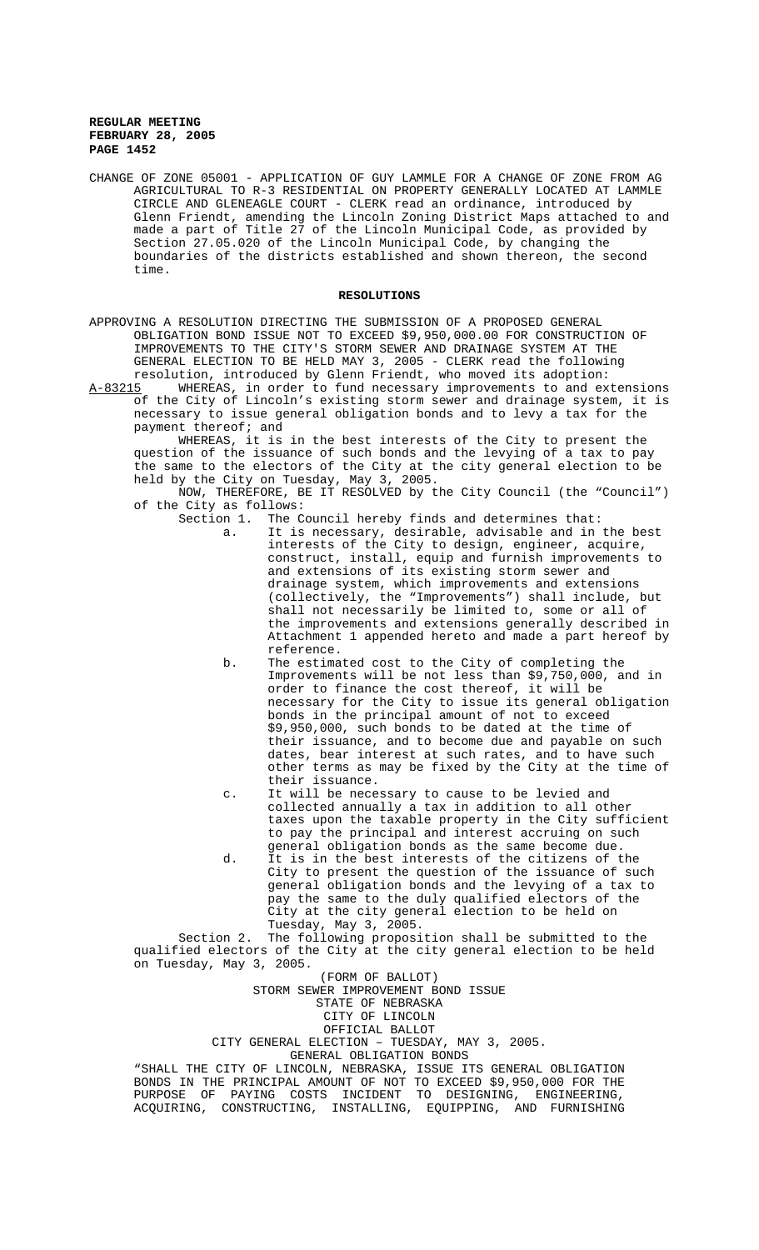CHANGE OF ZONE 05001 - APPLICATION OF GUY LAMMLE FOR A CHANGE OF ZONE FROM AG AGRICULTURAL TO R-3 RESIDENTIAL ON PROPERTY GENERALLY LOCATED AT LAMMLE CIRCLE AND GLENEAGLE COURT - CLERK read an ordinance, introduced by Glenn Friendt, amending the Lincoln Zoning District Maps attached to and made a part of Title 27 of the Lincoln Municipal Code, as provided by Section 27.05.020 of the Lincoln Municipal Code, by changing the boundaries of the districts established and shown thereon, the second time.

# **RESOLUTIONS**

APPROVING A RESOLUTION DIRECTING THE SUBMISSION OF A PROPOSED GENERAL OBLIGATION BOND ISSUE NOT TO EXCEED \$9,950,000.00 FOR CONSTRUCTION OF IMPROVEMENTS TO THE CITY'S STORM SEWER AND DRAINAGE SYSTEM AT THE GENERAL ELECTION TO BE HELD MAY 3, 2005 - CLERK read the following resolution, introduced by Glenn Friendt, who moved its adoption:

A-83215 WHEREAS, in order to fund necessary improvements to and extensions of the City of Lincoln's existing storm sewer and drainage system, it is necessary to issue general obligation bonds and to levy a tax for the payment thereof; and

WHEREAS, it is in the best interests of the City to present the question of the issuance of such bonds and the levying of a tax to pay the same to the electors of the City at the city general election to be held by the City on Tuesday, May 3, 2005.

NOW, THEREFORE, BE IT RESOLVED by the City Council (the "Council") of the City as follows:<br>Section 1. The C

- The Council hereby finds and determines that: a. It is necessary, desirable, advisable and in the best interests of the City to design, engineer, acquire, construct, install, equip and furnish improvements to and extensions of its existing storm sewer and drainage system, which improvements and extensions (collectively, the "Improvements") shall include, but shall not necessarily be limited to, some or all of the improvements and extensions generally described in Attachment 1 appended hereto and made a part hereof by reference.
- b. The estimated cost to the City of completing the Improvements will be not less than \$9,750,000, and in order to finance the cost thereof, it will be necessary for the City to issue its general obligation bonds in the principal amount of not to exceed \$9,950,000, such bonds to be dated at the time of their issuance, and to become due and payable on such dates, bear interest at such rates, and to have such other terms as may be fixed by the City at the time of their issuance.
- c. It will be necessary to cause to be levied and collected annually a tax in addition to all other taxes upon the taxable property in the City sufficient to pay the principal and interest accruing on such general obligation bonds as the same become due.
- d. It is in the best interests of the citizens of the City to present the question of the issuance of such general obligation bonds and the levying of a tax to pay the same to the duly qualified electors of the City at the city general election to be held on Tuesday, May 3, 2005.

Section 2. The following proposition shall be submitted to the qualified electors of the City at the city general election to be held on Tuesday, May 3, 2005.

(FORM OF BALLOT)

STORM SEWER IMPROVEMENT BOND ISSUE

STATE OF NEBRASKA

CITY OF LINCOLN

OFFICIAL BALLOT

CITY GENERAL ELECTION – TUESDAY, MAY 3, 2005.

GENERAL OBLIGATION BONDS

"SHALL THE CITY OF LINCOLN, NEBRASKA, ISSUE ITS GENERAL OBLIGATION BONDS IN THE PRINCIPAL AMOUNT OF NOT TO EXCEED \$9,950,000 FOR THE PURPOSE OF PAYING COSTS INCIDENT TO DESIGNING, ENGINEERING, ACQUIRING, CONSTRUCTING, INSTALLING, EQUIPPING, AND FURNISHING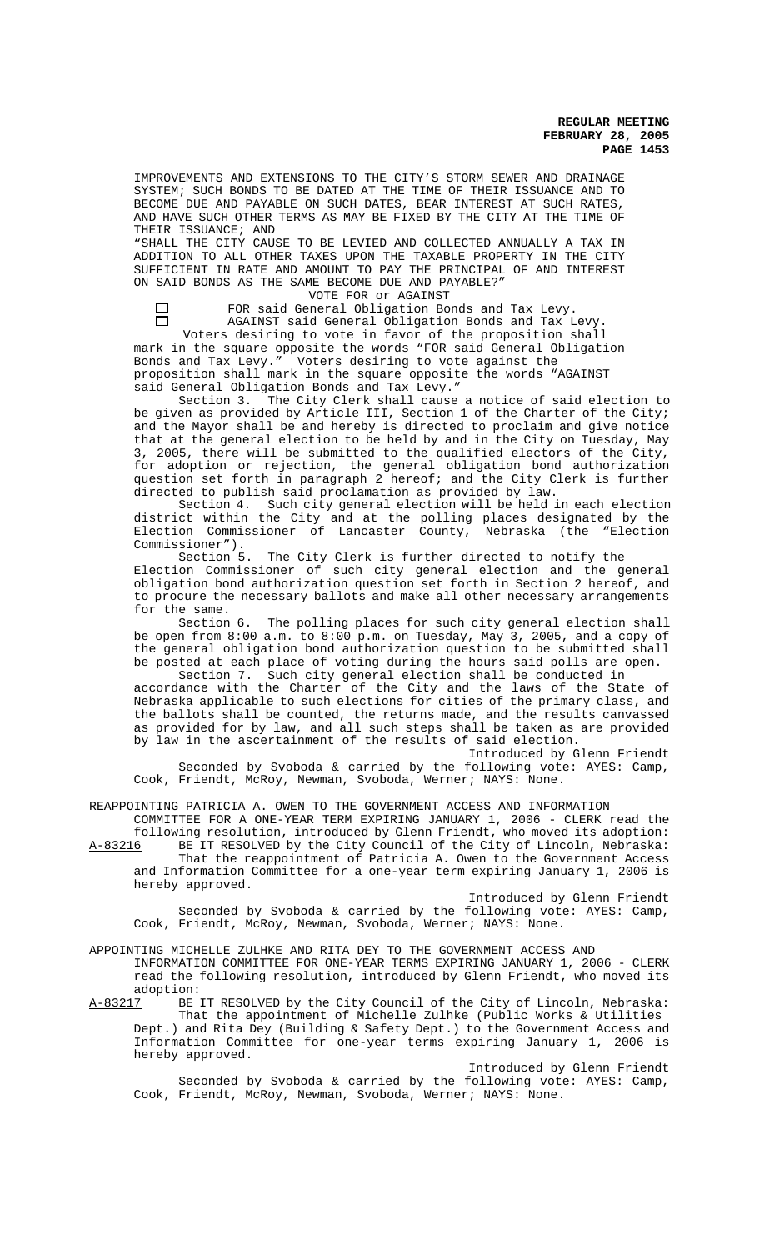IMPROVEMENTS AND EXTENSIONS TO THE CITY'S STORM SEWER AND DRAINAGE SYSTEM; SUCH BONDS TO BE DATED AT THE TIME OF THEIR ISSUANCE AND TO BECOME DUE AND PAYABLE ON SUCH DATES, BEAR INTEREST AT SUCH RATES, AND HAVE SUCH OTHER TERMS AS MAY BE FIXED BY THE CITY AT THE TIME OF THEIR ISSUANCE; AND

"SHALL THE CITY CAUSE TO BE LEVIED AND COLLECTED ANNUALLY A TAX IN ADDITION TO ALL OTHER TAXES UPON THE TAXABLE PROPERTY IN THE CITY SUFFICIENT IN RATE AND AMOUNT TO PAY THE PRINCIPAL OF AND INTEREST ON SAID BONDS AS THE SAME BECOME DUE AND PAYABLE?"

 $\Box$  $\Box$ 

VOTE FOR or AGAINST FOR said General Obligation Bonds and Tax Levy. AGAINST said General Obligation Bonds and Tax Levy.

Voters desiring to vote in favor of the proposition shall mark in the square opposite the words "FOR said General Obligation Bonds and Tax Levy." Voters desiring to vote against the proposition shall mark in the square opposite the words "AGAINST said General Obligation Bonds and Tax Levy."

Section 3. The City Clerk shall cause a notice of said election to be given as provided by Article III, Section 1 of the Charter of the City; and the Mayor shall be and hereby is directed to proclaim and give notice that at the general election to be held by and in the City on Tuesday, May 3, 2005, there will be submitted to the qualified electors of the City, for adoption or rejection, the general obligation bond authorization question set forth in paragraph 2 hereof; and the City Clerk is further directed to publish said proclamation as provided by law.

Section 4. Such city general election will be held in each election district within the City and at the polling places designated by the Election Commissioner of Lancaster County, Nebraska (the "Election Commissioner").

Section 5. The City Clerk is further directed to notify the Election Commissioner of such city general election and the general obligation bond authorization question set forth in Section 2 hereof, and to procure the necessary ballots and make all other necessary arrangements for the same.

Section 6. The polling places for such city general election shall be open from 8:00 a.m. to 8:00 p.m. on Tuesday, May 3, 2005, and a copy of the general obligation bond authorization question to be submitted shall be posted at each place of voting during the hours said polls are open.<br>Section 7. Such city general election shall be conducted in

Such city general election shall be conducted in accordance with the Charter of the City and the laws of the State of Nebraska applicable to such elections for cities of the primary class, and the ballots shall be counted, the returns made, and the results canvassed as provided for by law, and all such steps shall be taken as are provided by law in the ascertainment of the results of said election.

Introduced by Glenn Friendt Seconded by Svoboda & carried by the following vote: AYES: Camp, Cook, Friendt, McRoy, Newman, Svoboda, Werner; NAYS: None.

REAPPOINTING PATRICIA A. OWEN TO THE GOVERNMENT ACCESS AND INFORMATION

COMMITTEE FOR A ONE-YEAR TERM EXPIRING JANUARY 1, 2006 - CLERK read the following resolution, introduced by Glenn Friendt, who moved its adoption:<br>A-83216 BE IT RESOLVED by the City Council of the City of Lincoln, Nebraska: BE IT RESOLVED by the City Council of the City of Lincoln, Nebraska:

That the reappointment of Patricia A. Owen to the Government Access and Information Committee for a one-year term expiring January 1, 2006 is hereby approved.

Introduced by Glenn Friendt Seconded by Svoboda & carried by the following vote: AYES: Camp, Cook, Friendt, McRoy, Newman, Svoboda, Werner; NAYS: None.

APPOINTING MICHELLE ZULHKE AND RITA DEY TO THE GOVERNMENT ACCESS AND

INFORMATION COMMITTEE FOR ONE-YEAR TERMS EXPIRING JANUARY 1, 2006 - CLERK read the following resolution, introduced by Glenn Friendt, who moved its

adoption:<br><u>A-83217</u> BE BE IT RESOLVED by the City Council of the City of Lincoln, Nebraska: That the appointment of Michelle Zulhke (Public Works & Utilities Dept.) and Rita Dey (Building & Safety Dept.) to the Government Access and Information Committee for one-year terms expiring January 1, 2006 is hereby approved.

Introduced by Glenn Friendt Seconded by Svoboda & carried by the following vote: AYES: Camp, Cook, Friendt, McRoy, Newman, Svoboda, Werner; NAYS: None.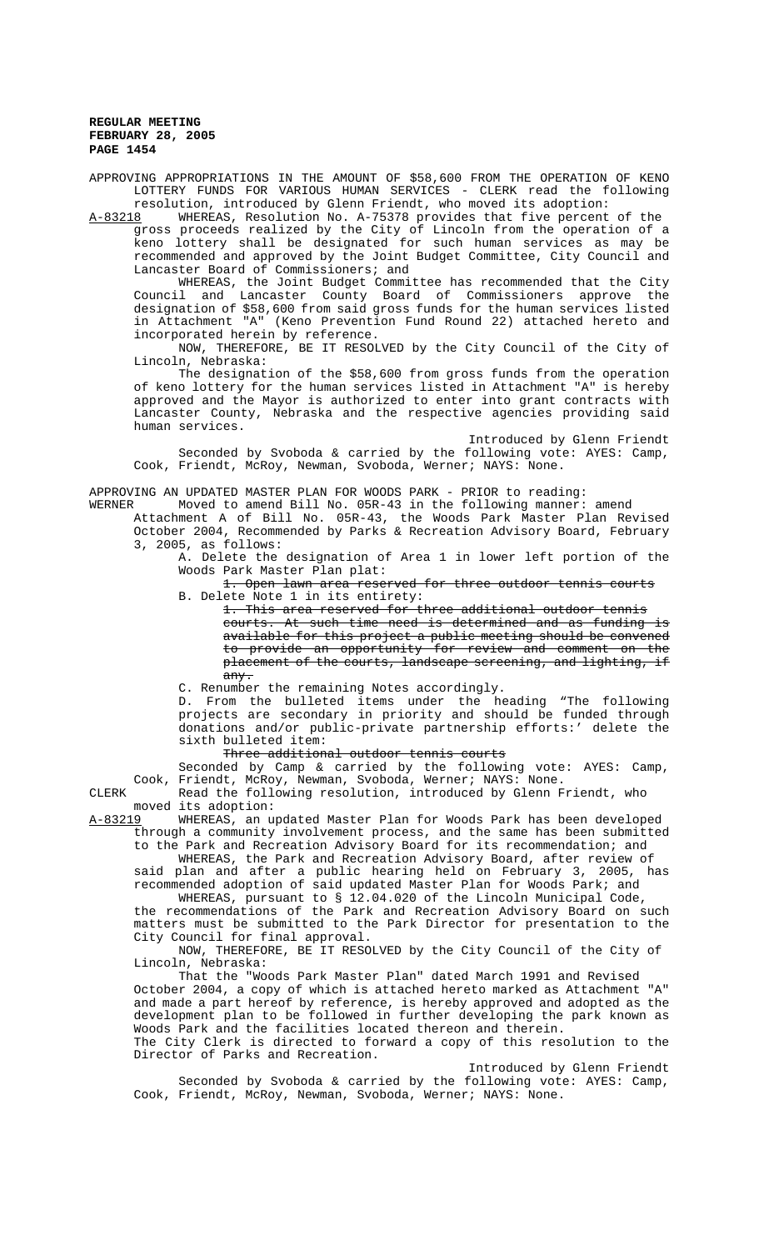APPROVING APPROPRIATIONS IN THE AMOUNT OF \$58,600 FROM THE OPERATION OF KENO LOTTERY FUNDS FOR VARIOUS HUMAN SERVICES - CLERK read the following resolution, introduced by Glenn Friendt, who moved its adoption:<br>A-83218 WHEREAS, Resolution No. A-75378 provides that five percent

WHEREAS, Resolution No. A-75378 provides that five percent of the gross proceeds realized by the City of Lincoln from the operation of a keno lottery shall be designated for such human services as may be recommended and approved by the Joint Budget Committee, City Council and Lancaster Board of Commissioners; and

WHEREAS, the Joint Budget Committee has recommended that the City<br>Council and Lancaster County Board of Commissioners approve the Lancaster County Board of Commissioners approve the designation of \$58,600 from said gross funds for the human services listed in Attachment "A" (Keno Prevention Fund Round 22) attached hereto and in necessarily by reference.

NOW, THEREFORE, BE IT RESOLVED by the City Council of the City of Lincoln, Nebraska:

The designation of the \$58,600 from gross funds from the operation of keno lottery for the human services listed in Attachment "A" is hereby approved and the Mayor is authorized to enter into grant contracts with Lancaster County, Nebraska and the respective agencies providing said human services.

Introduced by Glenn Friendt Seconded by Svoboda & carried by the following vote: AYES: Camp, Cook, Friendt, McRoy, Newman, Svoboda, Werner; NAYS: None.

APPROVING AN UPDATED MASTER PLAN FOR WOODS PARK - PRIOR to reading:<br>WERNER Moved to amend Bill No. 05R-43 in the following manner:

Moved to amend Bill No. 05R-43 in the following manner: amend

Attachment A of Bill No. 05R-43, the Woods Park Master Plan Revised October 2004, Recommended by Parks & Recreation Advisory Board, February 3, 2005, as follows:

A. Delete the designation of Area 1 in lower left portion of the Woods Park Master Plan plat:

1. Open lawn area reserved for three outdoor tennis courts B. Delete Note 1 in its entirety:

1. This area reserved for three additional outdoor tennis

courts. At such time need is determined and as funding is available for this project a public meeting should be convened to provide an opportunity for review and comment on the placement of the courts, landscape screening, and lighting, if any.

C. Renumber the remaining Notes accordingly.

D. From the bulleted items under the heading "The following projects are secondary in priority and should be funded through donations and/or public-private partnership efforts:' delete the sixth bulleted item:

Three additional outdoor tennis courts

Seconded by Camp & carried by the following vote: AYES: Camp, Cook, Friendt, McRoy, Newman, Svoboda, Werner; NAYS: None.

CLERK Read the following resolution, introduced by Glenn Friendt, who

moved its adoption:<br>A-83219 WHEREAS, an u WHEREAS, an updated Master Plan for Woods Park has been developed through a community involvement process, and the same has been submitted to the Park and Recreation Advisory Board for its recommendation; and

WHEREAS, the Park and Recreation Advisory Board, after review of said plan and after a public hearing held on February 3, 2005, has recommended adoption of said updated Master Plan for Woods Park; and

WHEREAS, pursuant to § 12.04.020 of the Lincoln Municipal Code, the recommendations of the Park and Recreation Advisory Board on such matters must be submitted to the Park Director for presentation to the City Council for final approval.

NOW, THEREFORE, BE IT RESOLVED by the City Council of the City of Lincoln, Nebraska:

That the "Woods Park Master Plan" dated March 1991 and Revised October 2004, a copy of which is attached hereto marked as Attachment "A" and made a part hereof by reference, is hereby approved and adopted as the development plan to be followed in further developing the park known as Woods Park and the facilities located thereon and therein.

The City Clerk is directed to forward a copy of this resolution to the Director of Parks and Recreation. Introduced by Glenn Friendt

Seconded by Svoboda & carried by the following vote: AYES: Camp, Cook, Friendt, McRoy, Newman, Svoboda, Werner; NAYS: None.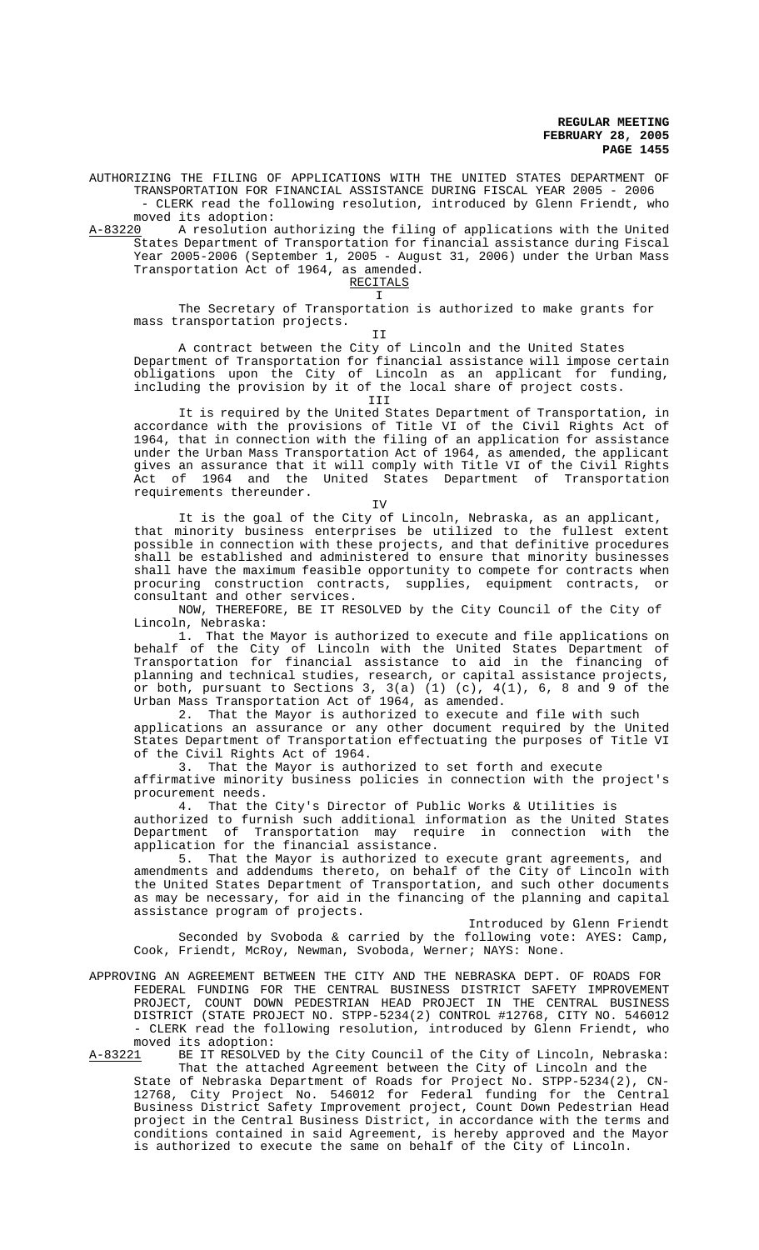AUTHORIZING THE FILING OF APPLICATIONS WITH THE UNITED STATES DEPARTMENT OF TRANSPORTATION FOR FINANCIAL ASSISTANCE DURING FISCAL YEAR 2005 - 2006 - CLERK read the following resolution, introduced by Glenn Friendt, who

moved its adoption:<br>A-83220 A resolution: A resolution authorizing the filing of applications with the United States Department of Transportation for financial assistance during Fiscal Year 2005-2006 (September 1, 2005 - August 31, 2006) under the Urban Mass Transportation Act of 1964, as amended.

RECITALS

I

The Secretary of Transportation is authorized to make grants for mass transportation projects.

II

A contract between the City of Lincoln and the United States

Department of Transportation for financial assistance will impose certain obligations upon the City of Lincoln as an applicant for funding, including the provision by it of the local share of project costs. III

It is required by the United States Department of Transportation, in accordance with the provisions of Title VI of the Civil Rights Act of 1964, that in connection with the filing of an application for assistance under the Urban Mass Transportation Act of 1964, as amended, the applicant gives an assurance that it will comply with Title VI of the Civil Rights Act of 1964 and the United States Department of Transportation requirements thereunder.

### IV

It is the goal of the City of Lincoln, Nebraska, as an applicant, that minority business enterprises be utilized to the fullest extent possible in connection with these projects, and that definitive procedures shall be established and administered to ensure that minority businesses shall have the maximum feasible opportunity to compete for contracts when procuring construction contracts, supplies, equipment contracts, or consultant and other services.

NOW, THEREFORE, BE IT RESOLVED by the City Council of the City of Lincoln, Nebraska:

1. That the Mayor is authorized to execute and file applications on behalf of the City of Lincoln with the United States Department of Transportation for financial assistance to aid in the financing of planning and technical studies, research, or capital assistance projects, or both, pursuant to Sections 3,  $3(a)$  (1) (c),  $4(1)$ , 6, 8 and 9 of the Urban Mass Transportation Act of 1964, as amended.

2. That the Mayor is authorized to execute and file with such applications an assurance or any other document required by the United States Department of Transportation effectuating the purposes of Title VI of the Civil Rights Act of 1964.<br>3. That the Mayor is autho

That the Mayor is authorized to set forth and execute affirmative minority business policies in connection with the project's procurement needs.

4. That the City's Director of Public Works & Utilities is

authorized to furnish such additional information as the United States Department of Transportation may require in connection with the application for the financial assistance.

5. That the Mayor is authorized to execute grant agreements, and amendments and addendums thereto, on behalf of the City of Lincoln with the United States Department of Transportation, and such other documents as may be necessary, for aid in the financing of the planning and capital assistance program of projects.

Introduced by Glenn Friendt Seconded by Svoboda & carried by the following vote: AYES: Camp, Cook, Friendt, McRoy, Newman, Svoboda, Werner; NAYS: None.

APPROVING AN AGREEMENT BETWEEN THE CITY AND THE NEBRASKA DEPT. OF ROADS FOR FEDERAL FUNDING FOR THE CENTRAL BUSINESS DISTRICT SAFETY IMPROVEMENT PROJECT, COUNT DOWN PEDESTRIAN HEAD PROJECT IN THE CENTRAL BUSINESS DISTRICT (STATE PROJECT NO. STPP-5234(2) CONTROL #12768, CITY NO. 546012 - CLERK read the following resolution, introduced by Glenn Friendt, who moved its adoption:

A-83221 BE IT RESOLVED by the City Council of the City of Lincoln, Nebraska: That the attached Agreement between the City of Lincoln and the

State of Nebraska Department of Roads for Project No. STPP-5234(2), CN-12768, City Project No. 546012 for Federal funding for the Central Business District Safety Improvement project, Count Down Pedestrian Head project in the Central Business District, in accordance with the terms and conditions contained in said Agreement, is hereby approved and the Mayor is authorized to execute the same on behalf of the City of Lincoln.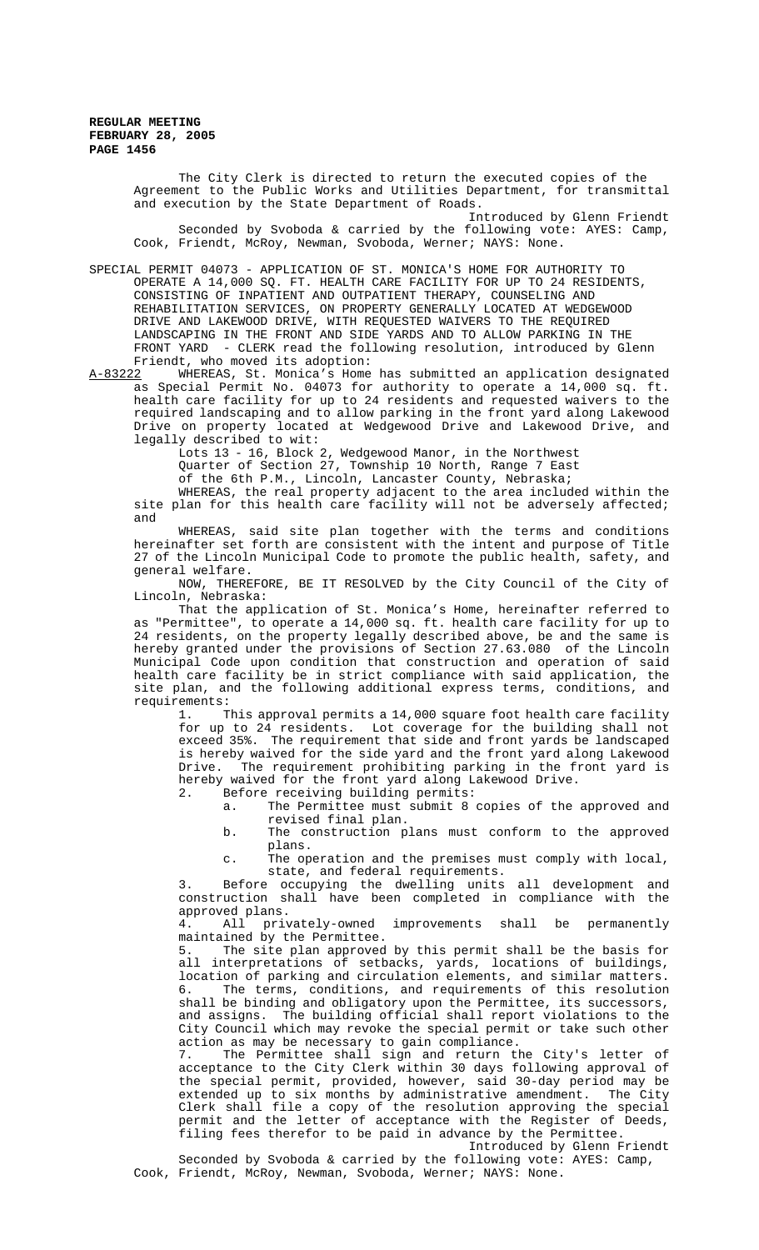> The City Clerk is directed to return the executed copies of the Agreement to the Public Works and Utilities Department, for transmittal and execution by the State Department of Roads.

> Introduced by Glenn Friendt Seconded by Svoboda & carried by the following vote: AYES: Camp, Cook, Friendt, McRoy, Newman, Svoboda, Werner; NAYS: None.

SPECIAL PERMIT 04073 - APPLICATION OF ST. MONICA'S HOME FOR AUTHORITY TO OPERATE A 14,000 SQ. FT. HEALTH CARE FACILITY FOR UP TO 24 RESIDENTS, CONSISTING OF INPATIENT AND OUTPATIENT THERAPY, COUNSELING AND REHABILITATION SERVICES, ON PROPERTY GENERALLY LOCATED AT WEDGEWOOD DRIVE AND LAKEWOOD DRIVE, WITH REQUESTED WAIVERS TO THE REQUIRED LANDSCAPING IN THE FRONT AND SIDE YARDS AND TO ALLOW PARKING IN THE FRONT YARD - CLERK read the following resolution, introduced by Glenn

Friendt, who moved its adoption:<br>A-83222 WHEREAS, St. Monica's Home WHEREAS, St. Monica's Home has submitted an application designated as Special Permit No. 04073 for authority to operate a 14,000 sq. ft. health care facility for up to 24 residents and requested waivers to the required landscaping and to allow parking in the front yard along Lakewood Drive on property located at Wedgewood Drive and Lakewood Drive, and legally described to wit:

Lots 13 - 16, Block 2, Wedgewood Manor, in the Northwest Quarter of Section 27, Township 10 North, Range 7 East

of the 6th P.M., Lincoln, Lancaster County, Nebraska;

WHEREAS, the real property adjacent to the area included within the site plan for this health care facility will not be adversely affected; and

WHEREAS, said site plan together with the terms and conditions hereinafter set forth are consistent with the intent and purpose of Title 27 of the Lincoln Municipal Code to promote the public health, safety, and general welfare.

NOW, THEREFORE, BE IT RESOLVED by the City Council of the City of Lincoln, Nebraska:

That the application of St. Monica's Home, hereinafter referred to as "Permittee", to operate a 14,000 sq. ft. health care facility for up to 24 residents, on the property legally described above, be and the same is hereby granted under the provisions of Section 27.63.080 of the Lincoln Municipal Code upon condition that construction and operation of said health care facility be in strict compliance with said application, the site plan, and the following additional express terms, conditions, and requirements:

1. This approval permits a 14,000 square foot health care facility for up to 24 residents. Lot coverage for the building shall not exceed 35%. The requirement that side and front yards be landscaped is hereby waived for the side yard and the front yard along Lakewood Drive. The requirement prohibiting parking in the front yard is hereby waived for the front yard along Lakewood Drive.

2. Before receiving building permits:

- a. The Permittee must submit 8 copies of the approved and revised final plan.
- b. The construction plans must conform to the approved plans.
- c. The operation and the premises must comply with local, state, and federal requirements.

3. Before occupying the dwelling units all development and construction shall have been completed in compliance with the approved plans.<br>4. All privately-owned

improvements shall be permanently maintained by the Permittee.<br>5. The site plan approved

5. The site plan approved by this permit shall be the basis for all interpretations of setbacks, yards, locations of buildings. interpretations of setbacks, yards, locations of buildings, location of parking and circulation elements, and similar matters. 6. The terms, conditions, and requirements of this resolution shall be binding and obligatory upon the Permittee, its successors, and assigns. The building official shall report violations to the City Council which may revoke the special permit or take such other action as may be necessary to gain compliance.

7. The Permittee shall sign and return the City's letter of acceptance to the City Clerk within 30 days following approval of the special permit, provided, however, said 30-day period may be extended up to six months by administrative amendment. The City Clerk shall file a copy of the resolution approving the special permit and the letter of acceptance with the Register of Deeds, filing fees therefor to be paid in advance by the Permittee.

Introduced by Glenn Friendt Seconded by Svoboda & carried by the following vote: AYES: Camp, Cook, Friendt, McRoy, Newman, Svoboda, Werner; NAYS: None.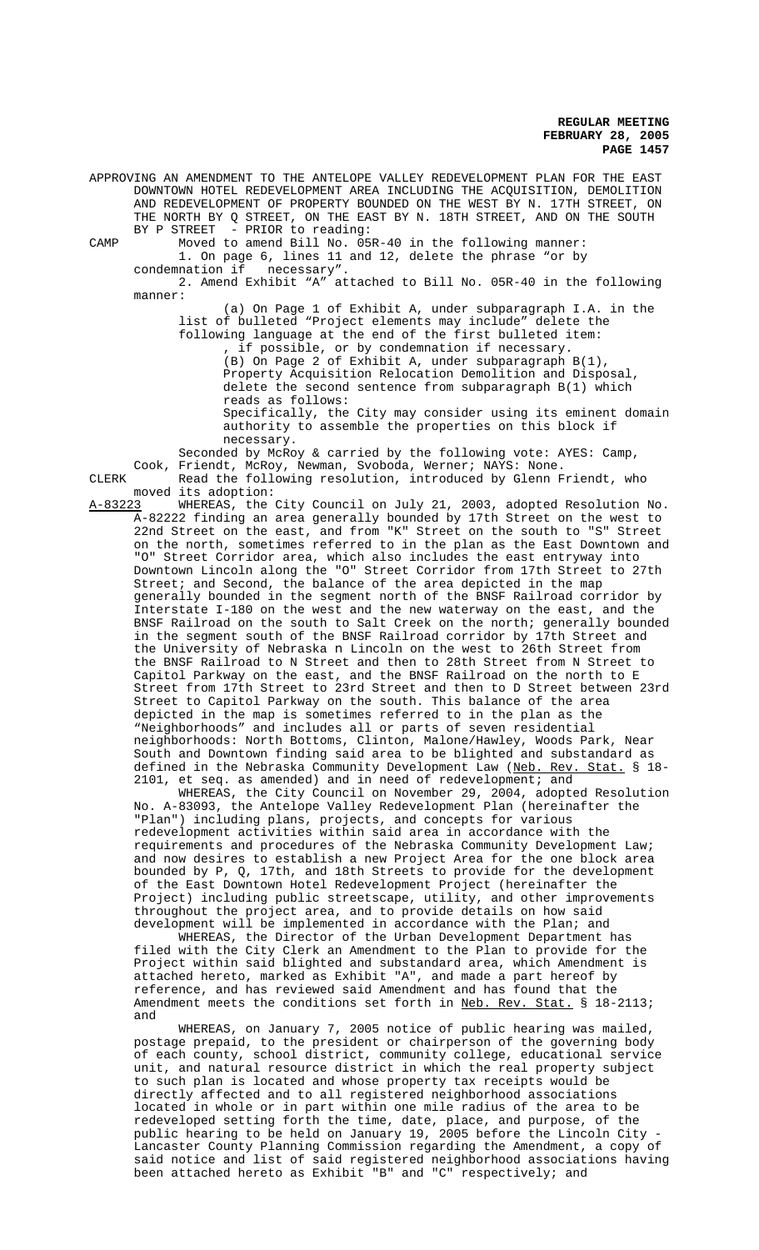APPROVING AN AMENDMENT TO THE ANTELOPE VALLEY REDEVELOPMENT PLAN FOR THE EAST DOWNTOWN HOTEL REDEVELOPMENT AREA INCLUDING THE ACQUISITION, DEMOLITION AND REDEVELOPMENT OF PROPERTY BOUNDED ON THE WEST BY N. 17TH STREET, ON THE NORTH BY Q STREET, ON THE EAST BY N. 18TH STREET, AND ON THE SOUTH BY P STREET - PRIOR to reading:

CAMP Moved to amend Bill No. 05R-40 in the following manner: 1. On page 6, lines 11 and 12, delete the phrase "or by condemnation if necessary".

2. Amend Exhibit "A" attached to Bill No. 05R-40 in the following manner:

(a) On Page 1 of Exhibit A, under subparagraph I.A. in the list of bulleted "Project elements may include" delete the following language at the end of the first bulleted item: if possible, or by condemnation if necessary.

(B) On Page 2 of Exhibit A, under subparagraph B(1), Property Acquisition Relocation Demolition and Disposal, delete the second sentence from subparagraph B(1) which reads as follows: Specifically, the City may consider using its eminent domain

authority to assemble the properties on this block if necessary.

Seconded by McRoy & carried by the following vote: AYES: Camp, Cook, Friendt, McRoy, Newman, Svoboda, Werner; NAYS: None. CLERK Read the following resolution, introduced by Glenn Friendt, who

moved its adoption:<br>A-83223 WHEREAS, the WHEREAS, the City Council on July 21, 2003, adopted Resolution No. A-82222 finding an area generally bounded by 17th Street on the west to 22nd Street on the east, and from "K" Street on the south to "S" Street on the north, sometimes referred to in the plan as the East Downtown and "O" Street Corridor area, which also includes the east entryway into Downtown Lincoln along the "O" Street Corridor from 17th Street to 27th Street; and Second, the balance of the area depicted in the map generally bounded in the segment north of the BNSF Railroad corridor by Interstate I-180 on the west and the new waterway on the east, and the BNSF Railroad on the south to Salt Creek on the north; generally bounded in the segment south of the BNSF Railroad corridor by 17th Street and the University of Nebraska n Lincoln on the west to 26th Street from the BNSF Railroad to N Street and then to 28th Street from N Street to Capitol Parkway on the east, and the BNSF Railroad on the north to E Street from 17th Street to 23rd Street and then to D Street between 23rd Street to Capitol Parkway on the south. This balance of the area depicted in the map is sometimes referred to in the plan as the "Neighborhoods" and includes all or parts of seven residential neighborhoods: North Bottoms, Clinton, Malone/Hawley, Woods Park, Near South and Downtown finding said area to be blighted and substandard as defined in the Nebraska Community Development Law (Neb. Rev. Stat. § 18defined in the Nebraska Community Development Law (<u>Neb. Rev. Stat.</u> § 18-2101, et seq. as amended) and in need of redevelopment; and

WHEREAS, the City Council on November 29, 2004, adopted Resolution No. A-83093, the Antelope Valley Redevelopment Plan (hereinafter the "Plan") including plans, projects, and concepts for various redevelopment activities within said area in accordance with the requirements and procedures of the Nebraska Community Development Law; and now desires to establish a new Project Area for the one block area bounded by P, Q, 17th, and 18th Streets to provide for the development of the East Downtown Hotel Redevelopment Project (hereinafter the Project) including public streetscape, utility, and other improvements throughout the project area, and to provide details on how said development will be implemented in accordance with the Plan; and

WHEREAS, the Director of the Urban Development Department has filed with the City Clerk an Amendment to the Plan to provide for the Project within said blighted and substandard area, which Amendment is attached hereto, marked as Exhibit "A", and made a part hereof by reference, and has reviewed said Amendment and has found that the Amendment meets the conditions set forth in Neb. Rev. Stat. § 18-2113; and

WHEREAS, on January 7, 2005 notice of public hearing was mailed, postage prepaid, to the president or chairperson of the governing body of each county, school district, community college, educational service unit, and natural resource district in which the real property subject to such plan is located and whose property tax receipts would be directly affected and to all registered neighborhood associations located in whole or in part within one mile radius of the area to be redeveloped setting forth the time, date, place, and purpose, of the public hearing to be held on January 19, 2005 before the Lincoln City - Lancaster County Planning Commission regarding the Amendment, a copy of said notice and list of said registered neighborhood associations having been attached hereto as Exhibit "B" and "C" respectively; and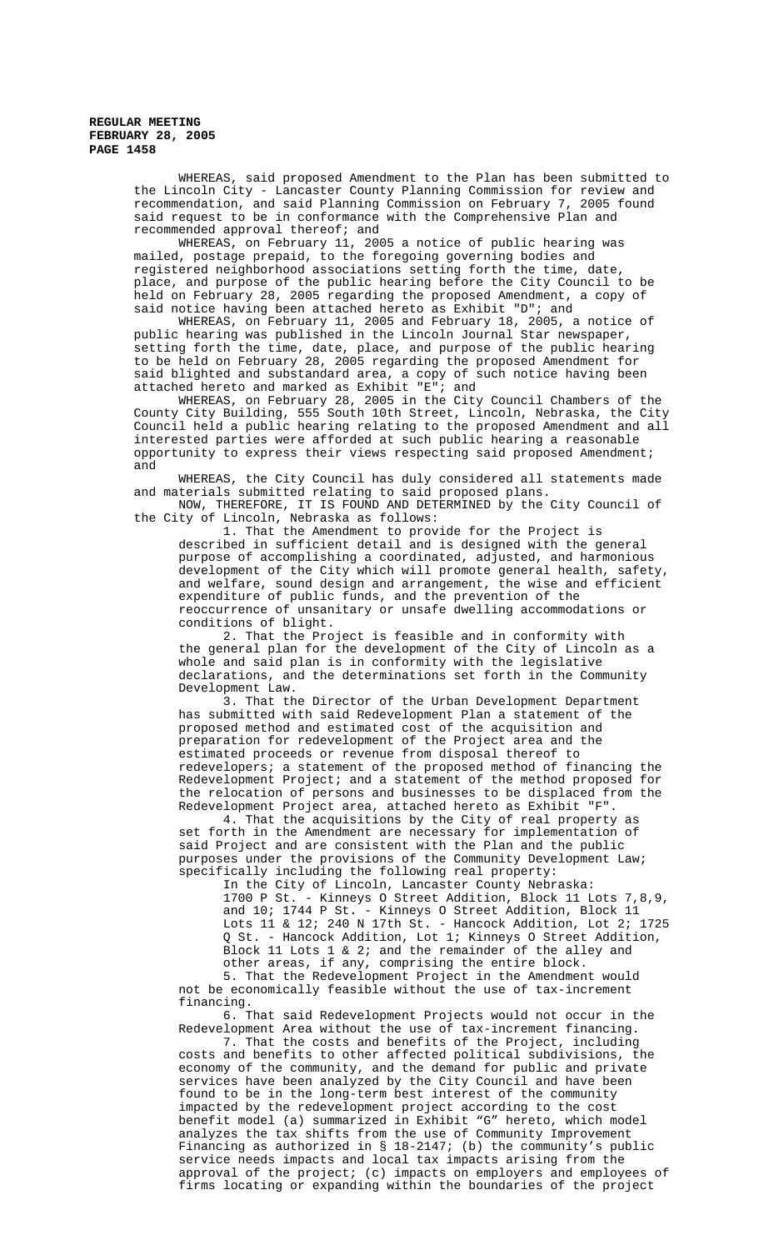WHEREAS, said proposed Amendment to the Plan has been submitted to the Lincoln City - Lancaster County Planning Commission for review and recommendation, and said Planning Commission on February 7, 2005 found said request to be in conformance with the Comprehensive Plan and recommended approval thereof; and

WHEREAS, on February 11, 2005 a notice of public hearing was mailed, postage prepaid, to the foregoing governing bodies and registered neighborhood associations setting forth the time, date, place, and purpose of the public hearing before the City Council to be held on February 28, 2005 regarding the proposed Amendment, a copy of said notice having been attached hereto as Exhibit "D"; and

WHEREAS, on February 11, 2005 and February 18, 2005, a notice of public hearing was published in the Lincoln Journal Star newspaper, setting forth the time, date, place, and purpose of the public hearing to be held on February 28, 2005 regarding the proposed Amendment for said blighted and substandard area, a copy of such notice having been attached hereto and marked as Exhibit "E"; and

WHEREAS, on February 28, 2005 in the City Council Chambers of the County City Building, 555 South 10th Street, Lincoln, Nebraska, the City Council held a public hearing relating to the proposed Amendment and all interested parties were afforded at such public hearing a reasonable opportunity to express their views respecting said proposed Amendment; and

WHEREAS, the City Council has duly considered all statements made and materials submitted relating to said proposed plans.

NOW, THEREFORE, IT IS FOUND AND DETERMINED by the City Council of the City of Lincoln, Nebraska as follows:

1. That the Amendment to provide for the Project is described in sufficient detail and is designed with the general purpose of accomplishing a coordinated, adjusted, and harmonious development of the City which will promote general health, safety, and welfare, sound design and arrangement, the wise and efficient expenditure of public funds, and the prevention of the reoccurrence of unsanitary or unsafe dwelling accommodations or conditions of blight.

2. That the Project is feasible and in conformity with the general plan for the development of the City of Lincoln as a whole and said plan is in conformity with the legislative declarations, and the determinations set forth in the Community Development Law.

3. That the Director of the Urban Development Department has submitted with said Redevelopment Plan a statement of the proposed method and estimated cost of the acquisition and preparation for redevelopment of the Project area and the estimated proceeds or revenue from disposal thereof to redevelopers; a statement of the proposed method of financing the Redevelopment Project; and a statement of the method proposed for the relocation of persons and businesses to be displaced from the Redevelopment Project area, attached hereto as Exhibit "F".

4. That the acquisitions by the City of real property as set forth in the Amendment are necessary for implementation of said Project and are consistent with the Plan and the public purposes under the provisions of the Community Development Law; specifically including the following real property:

In the City of Lincoln, Lancaster County Nebraska: 1700 P St. - Kinneys O Street Addition, Block 11 Lots 7,8,9, and 10; 1744 P St. - Kinneys O Street Addition, Block 11 Lots 11 & 12; 240 N 17th St. - Hancock Addition, Lot 2; 1725 Q St. - Hancock Addition, Lot 1; Kinneys O Street Addition, Block 11 Lots 1 & 2; and the remainder of the alley and other areas, if any, comprising the entire block.

5. That the Redevelopment Project in the Amendment would not be economically feasible without the use of tax-increment financing.

6. That said Redevelopment Projects would not occur in the Redevelopment Area without the use of tax-increment financing.

7. That the costs and benefits of the Project, including costs and benefits to other affected political subdivisions, the economy of the community, and the demand for public and private services have been analyzed by the City Council and have been found to be in the long-term best interest of the community impacted by the redevelopment project according to the cost benefit model (a) summarized in Exhibit "G" hereto, which model analyzes the tax shifts from the use of Community Improvement Financing as authorized in § 18-2147; (b) the community's public service needs impacts and local tax impacts arising from the approval of the project; (c) impacts on employers and employees of firms locating or expanding within the boundaries of the project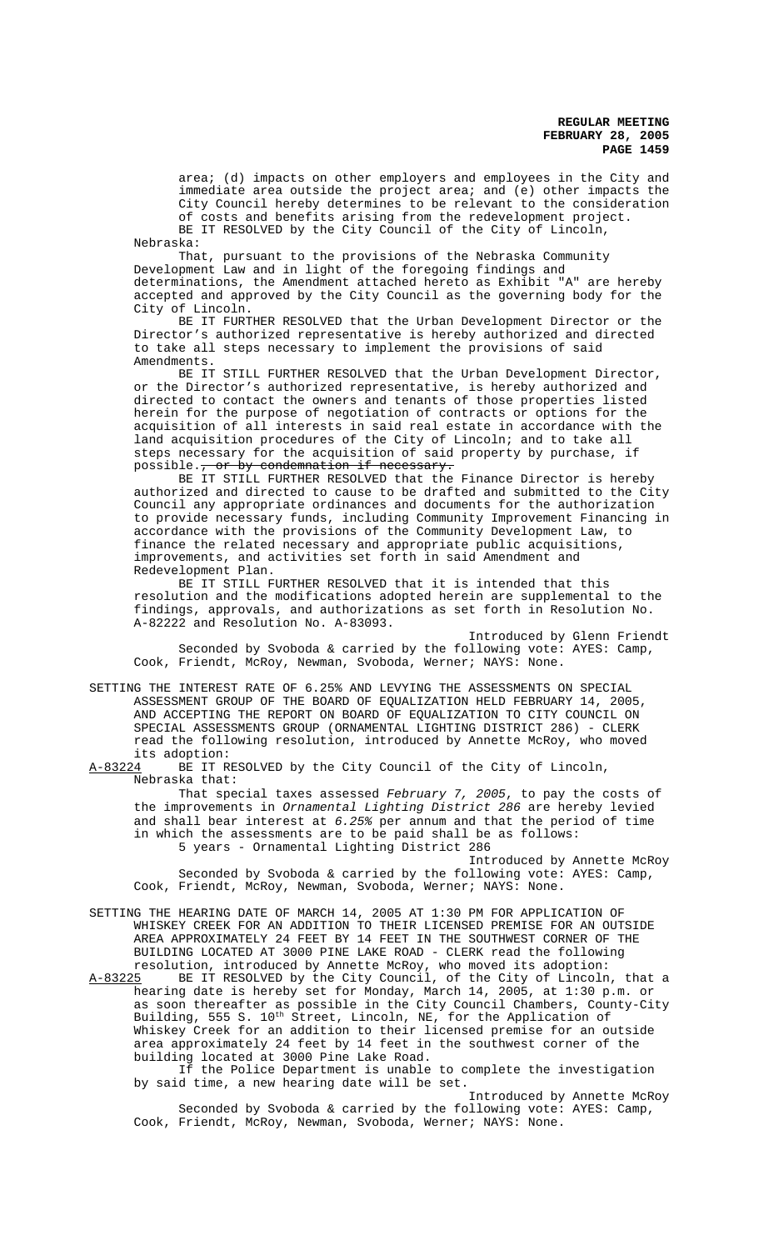area; (d) impacts on other employers and employees in the City and immediate area outside the project area; and (e) other impacts the City Council hereby determines to be relevant to the consideration of costs and benefits arising from the redevelopment project. BE IT RESOLVED by the City Council of the City of Lincoln,

Nebraska: That, pursuant to the provisions of the Nebraska Community Development Law and in light of the foregoing findings and determinations, the Amendment attached hereto as Exhibit "A" are hereby accepted and approved by the City Council as the governing body for the City of Lincoln.

BE IT FURTHER RESOLVED that the Urban Development Director or the Director's authorized representative is hereby authorized and directed to take all steps necessary to implement the provisions of said Amendments.

BE IT STILL FURTHER RESOLVED that the Urban Development Director, or the Director's authorized representative, is hereby authorized and directed to contact the owners and tenants of those properties listed herein for the purpose of negotiation of contracts or options for the acquisition of all interests in said real estate in accordance with the land acquisition procedures of the City of Lincoln; and to take all steps necessary for the acquisition of said property by purchase, if possible., or by condemnation if necessary.

BE IT STILL FURTHER RESOLVED that the Finance Director is hereby authorized and directed to cause to be drafted and submitted to the City Council any appropriate ordinances and documents for the authorization to provide necessary funds, including Community Improvement Financing in accordance with the provisions of the Community Development Law, to finance the related necessary and appropriate public acquisitions, improvements, and activities set forth in said Amendment and Redevelopment Plan.

BE IT STILL FURTHER RESOLVED that it is intended that this resolution and the modifications adopted herein are supplemental to the findings, approvals, and authorizations as set forth in Resolution No. A-82222 and Resolution No. A-83093.

Introduced by Glenn Friendt Seconded by Svoboda & carried by the following vote: AYES: Camp, Cook, Friendt, McRoy, Newman, Svoboda, Werner; NAYS: None.

SETTING THE INTEREST RATE OF 6.25% AND LEVYING THE ASSESSMENTS ON SPECIAL ASSESSMENT GROUP OF THE BOARD OF EQUALIZATION HELD FEBRUARY 14, 2005, AND ACCEPTING THE REPORT ON BOARD OF EQUALIZATION TO CITY COUNCIL ON SPECIAL ASSESSMENTS GROUP (ORNAMENTAL LIGHTING DISTRICT 286) - CLERK read the following resolution, introduced by Annette McRoy, who moved its adoption:<br>A-83224 BE IT R

BE IT RESOLVED by the City Council of the City of Lincoln, Nebraska that:

That special taxes assessed February 7, 2005, to pay the costs of the improvements in Ornamental Lighting District 286 are hereby levied and shall bear interest at  $6.25\%$  per annum and that the period of time in which the assessments are to be paid shall be as follows: 5 years - Ornamental Lighting District 286

Introduced by Annette McRoy Seconded by Svoboda & carried by the following vote: AYES: Camp, Cook, Friendt, McRoy, Newman, Svoboda, Werner; NAYS: None.

SETTING THE HEARING DATE OF MARCH 14, 2005 AT 1:30 PM FOR APPLICATION OF WHISKEY CREEK FOR AN ADDITION TO THEIR LICENSED PREMISE FOR AN OUTSIDE AREA APPROXIMATELY 24 FEET BY 14 FEET IN THE SOUTHWEST CORNER OF THE BUILDING LOCATED AT 3000 PINE LAKE ROAD - CLERK read the following resolution, introduced by Annette McRoy, who moved its adoption:<br>A-83225 BE IT RESOLVED by the City Council, of the City of Lincoln

BE IT RESOLVED by the City Council, of the City of Lincoln, that a hearing date is hereby set for Monday, March 14, 2005, at 1:30 p.m. or as soon thereafter as possible in the City Council Chambers, County-City Building, 555 S. 10<sup>th</sup> Street, Lincoln, NE, for the Application of Whiskey Creek for an addition to their licensed premise for an outside area approximately 24 feet by 14 feet in the southwest corner of the building located at 3000 Pine Lake Road.

If the Police Department is unable to complete the investigation by said time, a new hearing date will be set.

Introduced by Annette McRoy Seconded by Svoboda & carried by the following vote: AYES: Camp, Cook, Friendt, McRoy, Newman, Svoboda, Werner; NAYS: None.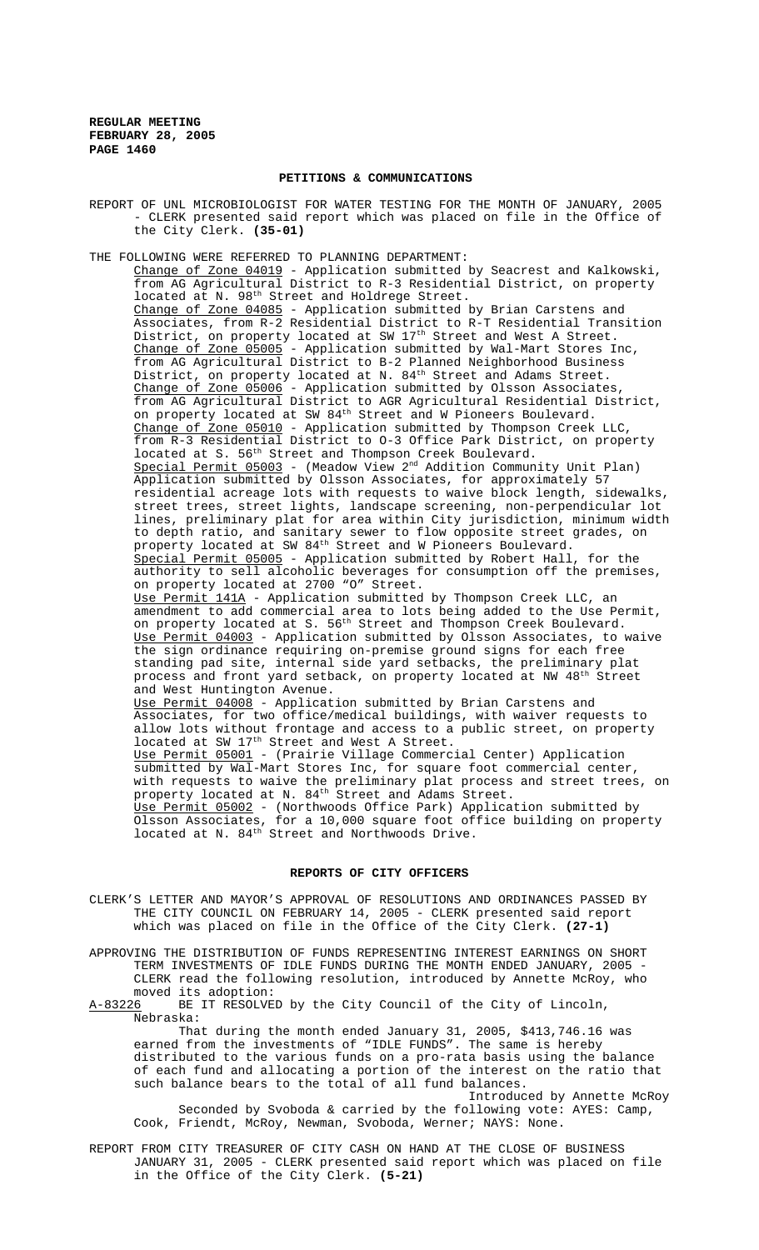## **PETITIONS & COMMUNICATIONS**

REPORT OF UNL MICROBIOLOGIST FOR WATER TESTING FOR THE MONTH OF JANUARY, 2005 - CLERK presented said report which was placed on file in the Office of the City Clerk. **(35-01)**

THE FOLLOWING WERE REFERRED TO PLANNING DEPARTMENT:

Change of Zone 04019 - Application submitted by Seacrest and Kalkowski, from AG Agricultural District to R-3 Residential District, on property located at N. 98<sup>th</sup> Street and Holdrege Street. Change of Zone 04085 - Application submitted by Brian Carstens and Associates, from R-2 Residential District to R-T Residential Transition District, on property located at SW 17<sup>th</sup> Street and West A Street. Change of Zone 05005 - Application submitted by Wal-Mart Stores Inc, from AG Agricultural District to B-2 Planned Neighborhood Business District, on property located at N. 84<sup>th</sup> Street and Adams Street. Change of Zone 05006 - Application submitted by Olsson Associates, from AG Agricultural District to AGR Agricultural Residential District, on property located at SW 84th Street and W Pioneers Boulevard. Change of Zone 05010 - Application submitted by Thompson Creek LLC, from R-3 Residential District to O-3 Office Park District, on property located at S. 56<sup>th</sup> Street and Thompson Creek Boulevard. Special Permit 05003 - (Meadow View  $2<sup>nd</sup>$  Addition Community Unit Plan) Application submitted by Olsson Associates, for approximately 57 residential acreage lots with requests to waive block length, sidewalks, street trees, street lights, landscape screening, non-perpendicular lot lines, preliminary plat for area within City jurisdiction, minimum width to depth ratio, and sanitary sewer to flow opposite street grades, on property located at SW 84<sup>th</sup> Street and W Pioneers Boulevard. Special Permit 05005 - Application submitted by Robert Hall, for the authority to sell alcoholic beverages for consumption off the premises, on property located at 2700 "O" Street. Use Permit 141A - Application submitted by Thompson Creek LLC, an amendment to add commercial area to lots being added to the Use Permit, on property located at S.  $56<sup>th</sup>$  Street and Thompson Creek Boulevard. Use Permit 04003 - Application submitted by Olsson Associates, to waive the sign ordinance requiring on-premise ground signs for each free standing pad site, internal side yard setbacks, the preliminary plat process and front yard setback, on property located at NW 48<sup>th</sup> Street and West Huntington Avenue. Use Permit 04008 - Application submitted by Brian Carstens and Associates, for two office/medical buildings, with waiver requests to allow lots without frontage and access to a public street, on property located at SW 17<sup>th</sup> Street and West A Street. Use Permit 05001 - (Prairie Village Commercial Center) Application submitted by Wal-Mart Stores Inc, for square foot commercial center, with requests to waive the preliminary plat process and street trees, on property located at N. 84<sup>th</sup> Street and Adams Street. Use Permit 05002 - (Northwoods Office Park) Application submitted by Olsson Associates, for a 10,000 square foot office building on property located at N. 84<sup>th</sup> Street and Northwoods Drive.

# **REPORTS OF CITY OFFICERS**

CLERK'S LETTER AND MAYOR'S APPROVAL OF RESOLUTIONS AND ORDINANCES PASSED BY THE CITY COUNCIL ON FEBRUARY 14, 2005 - CLERK presented said report which was placed on file in the Office of the City Clerk. **(27-1)**

APPROVING THE DISTRIBUTION OF FUNDS REPRESENTING INTEREST EARNINGS ON SHORT TERM INVESTMENTS OF IDLE FUNDS DURING THE MONTH ENDED JANUARY, 2005 -CLERK read the following resolution, introduced by Annette McRoy, who moved its adoption:

A-83226 BE IT RESOLVED by the City Council of the City of Lincoln, Nebraska:

That during the month ended January 31, 2005, \$413,746.16 was earned from the investments of "IDLE FUNDS". The same is hereby distributed to the various funds on a pro-rata basis using the balance of each fund and allocating a portion of the interest on the ratio that such balance bears to the total of all fund balances.

Introduced by Annette McRoy Seconded by Svoboda & carried by the following vote: AYES: Camp, Cook, Friendt, McRoy, Newman, Svoboda, Werner; NAYS: None.

REPORT FROM CITY TREASURER OF CITY CASH ON HAND AT THE CLOSE OF BUSINESS JANUARY 31, 2005 - CLERK presented said report which was placed on file in the Office of the City Clerk. **(5-21)**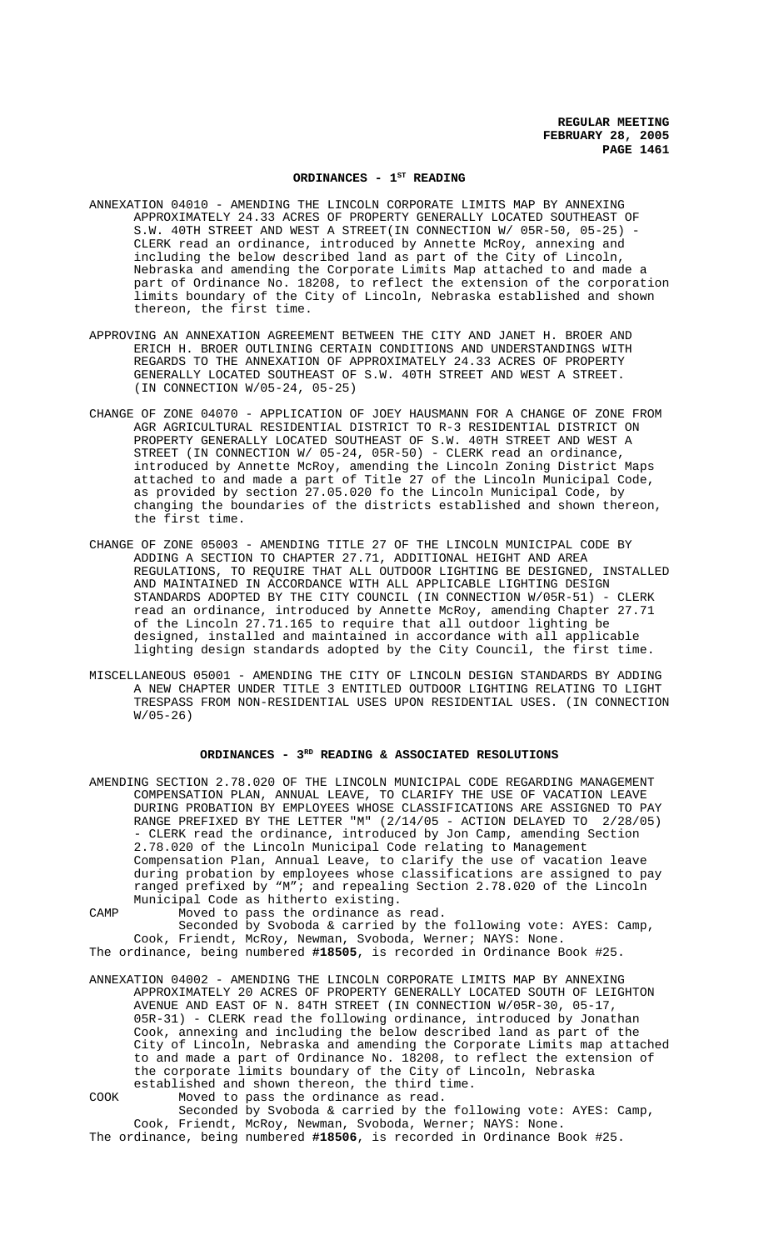# ORDINANCES - 1<sup>st</sup> READING

- ANNEXATION 04010 AMENDING THE LINCOLN CORPORATE LIMITS MAP BY ANNEXING APPROXIMATELY 24.33 ACRES OF PROPERTY GENERALLY LOCATED SOUTHEAST OF S.W. 40TH STREET AND WEST A STREET(IN CONNECTION W/ 05R-50, 05-25) CLERK read an ordinance, introduced by Annette McRoy, annexing and including the below described land as part of the City of Lincoln, Nebraska and amending the Corporate Limits Map attached to and made a part of Ordinance No. 18208, to reflect the extension of the corporation limits boundary of the City of Lincoln, Nebraska established and shown thereon, the first time.
- APPROVING AN ANNEXATION AGREEMENT BETWEEN THE CITY AND JANET H. BROER AND ERICH H. BROER OUTLINING CERTAIN CONDITIONS AND UNDERSTANDINGS WITH REGARDS TO THE ANNEXATION OF APPROXIMATELY 24.33 ACRES OF PROPERTY GENERALLY LOCATED SOUTHEAST OF S.W. 40TH STREET AND WEST A STREET. (IN CONNECTION W/05-24, 05-25)
- CHANGE OF ZONE 04070 APPLICATION OF JOEY HAUSMANN FOR A CHANGE OF ZONE FROM AGR AGRICULTURAL RESIDENTIAL DISTRICT TO R-3 RESIDENTIAL DISTRICT ON PROPERTY GENERALLY LOCATED SOUTHEAST OF S.W. 40TH STREET AND WEST A STREET (IN CONNECTION W/ 05-24, 05R-50) - CLERK read an ordinance, introduced by Annette McRoy, amending the Lincoln Zoning District Maps attached to and made a part of Title 27 of the Lincoln Municipal Code, as provided by section 27.05.020 fo the Lincoln Municipal Code, by changing the boundaries of the districts established and shown thereon, the first time.
- CHANGE OF ZONE 05003 AMENDING TITLE 27 OF THE LINCOLN MUNICIPAL CODE BY ADDING A SECTION TO CHAPTER 27.71, ADDITIONAL HEIGHT AND AREA REGULATIONS, TO REQUIRE THAT ALL OUTDOOR LIGHTING BE DESIGNED, INSTALLED AND MAINTAINED IN ACCORDANCE WITH ALL APPLICABLE LIGHTING DESIGN STANDARDS ADOPTED BY THE CITY COUNCIL (IN CONNECTION W/05R-51) - CLERK read an ordinance, introduced by Annette McRoy, amending Chapter 27.71 of the Lincoln 27.71.165 to require that all outdoor lighting be designed, installed and maintained in accordance with all applicable lighting design standards adopted by the City Council, the first time.
- MISCELLANEOUS 05001 AMENDING THE CITY OF LINCOLN DESIGN STANDARDS BY ADDING A NEW CHAPTER UNDER TITLE 3 ENTITLED OUTDOOR LIGHTING RELATING TO LIGHT TRESPASS FROM NON-RESIDENTIAL USES UPON RESIDENTIAL USES. (IN CONNECTION  $W/05-26$

## ORDINANCES - 3<sup>RD</sup> READING & ASSOCIATED RESOLUTIONS

AMENDING SECTION 2.78.020 OF THE LINCOLN MUNICIPAL CODE REGARDING MANAGEMENT COMPENSATION PLAN, ANNUAL LEAVE, TO CLARIFY THE USE OF VACATION LEAVE DURING PROBATION BY EMPLOYEES WHOSE CLASSIFICATIONS ARE ASSIGNED TO PAY RANGE PREFIXED BY THE LETTER "M" (2/14/05 - ACTION DELAYED TO 2/28/05) - CLERK read the ordinance, introduced by Jon Camp, amending Section 2.78.020 of the Lincoln Municipal Code relating to Management Compensation Plan, Annual Leave, to clarify the use of vacation leave during probation by employees whose classifications are assigned to pay ranged prefixed by "M"; and repealing Section 2.78.020 of the Lincoln Municipal Code as hitherto existing.

CAMP Moved to pass the ordinance as read. Seconded by Svoboda & carried by the following vote: AYES: Camp,

Cook, Friendt, McRoy, Newman, Svoboda, Werner; NAYS: None. The ordinance, being numbered **#18505**, is recorded in Ordinance Book #25.

- ANNEXATION 04002 AMENDING THE LINCOLN CORPORATE LIMITS MAP BY ANNEXING APPROXIMATELY 20 ACRES OF PROPERTY GENERALLY LOCATED SOUTH OF LEIGHTON AVENUE AND EAST OF N. 84TH STREET (IN CONNECTION W/05R-30, 05-17, 05R-31) - CLERK read the following ordinance, introduced by Jonathan Cook, annexing and including the below described land as part of the City of Lincoln, Nebraska and amending the Corporate Limits map attached to and made a part of Ordinance No. 18208, to reflect the extension of the corporate limits boundary of the City of Lincoln, Nebraska established and shown thereon, the third time.
- COOK Moved to pass the ordinance as read. Seconded by Svoboda & carried by the following vote: AYES: Camp, Cook, Friendt, McRoy, Newman, Svoboda, Werner; NAYS: None. The ordinance, being numbered **#18506**, is recorded in Ordinance Book #25.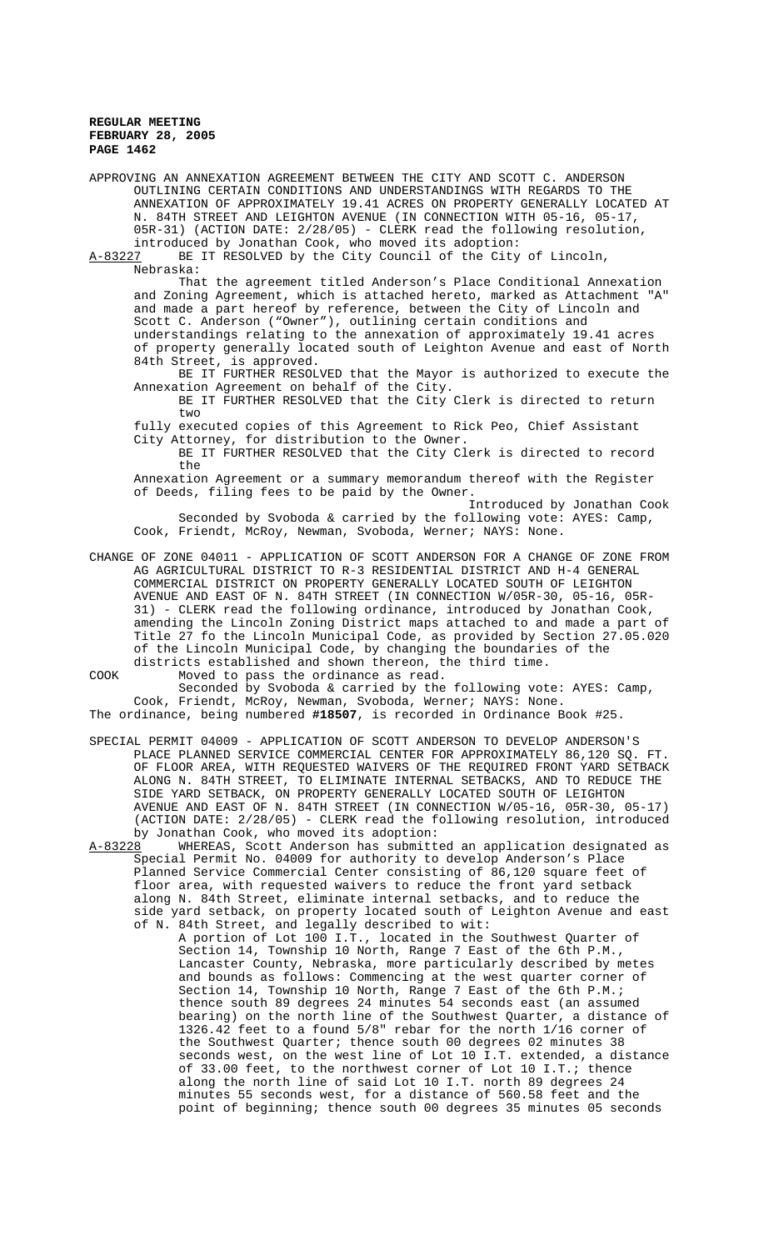APPROVING AN ANNEXATION AGREEMENT BETWEEN THE CITY AND SCOTT C. ANDERSON OUTLINING CERTAIN CONDITIONS AND UNDERSTANDINGS WITH REGARDS TO THE ANNEXATION OF APPROXIMATELY 19.41 ACRES ON PROPERTY GENERALLY LOCATED AT N. 84TH STREET AND LEIGHTON AVENUE (IN CONNECTION WITH 05-16, 05-17, 05R-31) (ACTION DATE: 2/28/05) - CLERK read the following resolution, introduced by Jonathan Cook, who moved its adoption:

A-83227 BE IT RESOLVED by the City Council of the City of Lincoln, Nebraska:

That the agreement titled Anderson's Place Conditional Annexation and Zoning Agreement, which is attached hereto, marked as Attachment "A" and made a part hereof by reference, between the City of Lincoln and Scott C. Anderson ("Owner"), outlining certain conditions and understandings relating to the annexation of approximately 19.41 acres of property generally located south of Leighton Avenue and east of North 84th Street, is approved.

BE IT FURTHER RESOLVED that the Mayor is authorized to execute the Annexation Agreement on behalf of the City.

BE IT FURTHER RESOLVED that the City Clerk is directed to return two

fully executed copies of this Agreement to Rick Peo, Chief Assistant City Attorney, for distribution to the Owner.

BE IT FURTHER RESOLVED that the City Clerk is directed to record the

Annexation Agreement or a summary memorandum thereof with the Register of Deeds, filing fees to be paid by the Owner.

Introduced by Jonathan Cook Seconded by Svoboda & carried by the following vote: AYES: Camp, Cook, Friendt, McRoy, Newman, Svoboda, Werner; NAYS: None.

CHANGE OF ZONE 04011 - APPLICATION OF SCOTT ANDERSON FOR A CHANGE OF ZONE FROM AG AGRICULTURAL DISTRICT TO R-3 RESIDENTIAL DISTRICT AND H-4 GENERAL COMMERCIAL DISTRICT ON PROPERTY GENERALLY LOCATED SOUTH OF LEIGHTON AVENUE AND EAST OF N. 84TH STREET (IN CONNECTION W/05R-30, 05-16, 05R-31) - CLERK read the following ordinance, introduced by Jonathan Cook, amending the Lincoln Zoning District maps attached to and made a part of Title 27 fo the Lincoln Municipal Code, as provided by Section 27.05.020 of the Lincoln Municipal Code, by changing the boundaries of the districts established and shown thereon, the third time.

COOK Moved to pass the ordinance as read.

Seconded by Svoboda & carried by the following vote: AYES: Camp, Cook, Friendt, McRoy, Newman, Svoboda, Werner; NAYS: None. The ordinance, being numbered **#18507**, is recorded in Ordinance Book #25.

SPECIAL PERMIT 04009 - APPLICATION OF SCOTT ANDERSON TO DEVELOP ANDERSON'S PLACE PLANNED SERVICE COMMERCIAL CENTER FOR APPROXIMATELY 86,120 SQ. FT. OF FLOOR AREA, WITH REQUESTED WAIVERS OF THE REQUIRED FRONT YARD SETBACK ALONG N. 84TH STREET, TO ELIMINATE INTERNAL SETBACKS, AND TO REDUCE THE SIDE YARD SETBACK, ON PROPERTY GENERALLY LOCATED SOUTH OF LEIGHTON AVENUE AND EAST OF N. 84TH STREET (IN CONNECTION W/05-16, 05R-30, 05-17) (ACTION DATE: 2/28/05) - CLERK read the following resolution, introduced

by Jonathan Cook, who moved its adoption:<br>A-83228 WHEREAS, Scott Anderson has submitt WHEREAS, Scott Anderson has submitted an application designated as Special Permit No. 04009 for authority to develop Anderson's Place Planned Service Commercial Center consisting of 86,120 square feet of floor area, with requested waivers to reduce the front yard setback along N. 84th Street, eliminate internal setbacks, and to reduce the side yard setback, on property located south of Leighton Avenue and east of N. 84th Street, and legally described to wit:

A portion of Lot 100 I.T., located in the Southwest Quarter of Section 14, Township 10 North, Range 7 East of the 6th P.M., Lancaster County, Nebraska, more particularly described by metes and bounds as follows: Commencing at the west quarter corner of Section 14, Township 10 North, Range 7 East of the 6th P.M.; thence south 89 degrees 24 minutes 54 seconds east (an assumed bearing) on the north line of the Southwest Quarter, a distance of 1326.42 feet to a found 5/8" rebar for the north 1/16 corner of the Southwest Quarter; thence south 00 degrees 02 minutes 38 seconds west, on the west line of Lot 10 I.T. extended, a distance of 33.00 feet, to the northwest corner of Lot 10 I.T.; thence along the north line of said Lot 10 I.T. north 89 degrees 24 minutes 55 seconds west, for a distance of 560.58 feet and the point of beginning; thence south 00 degrees 35 minutes 05 seconds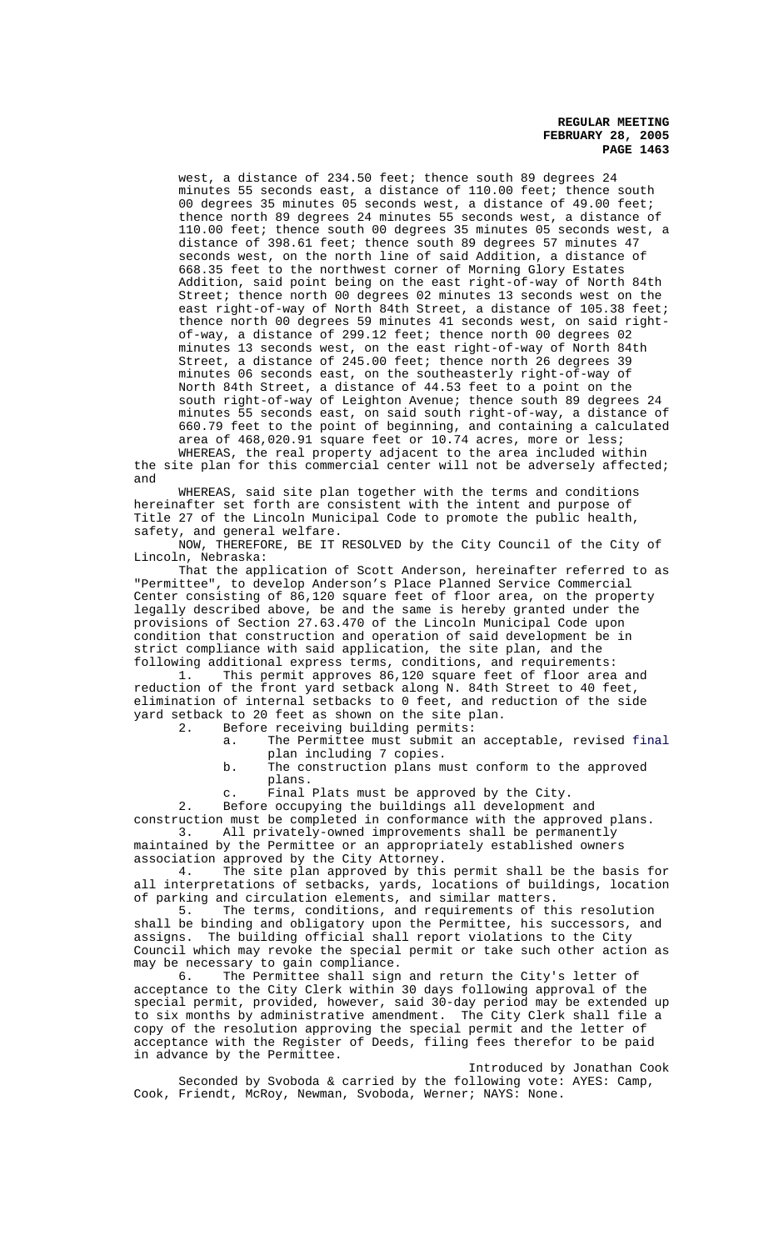west, a distance of 234.50 feet; thence south 89 degrees 24 minutes 55 seconds east, a distance of 110.00 feet; thence south 00 degrees 35 minutes 05 seconds west, a distance of 49.00 feet; thence north 89 degrees 24 minutes 55 seconds west, a distance of 110.00 feet; thence south 00 degrees 35 minutes 05 seconds west, a distance of 398.61 feet; thence south 89 degrees 57 minutes 47 seconds west, on the north line of said Addition, a distance of 668.35 feet to the northwest corner of Morning Glory Estates Addition, said point being on the east right-of-way of North 84th Street; thence north 00 degrees 02 minutes 13 seconds west on the east right-of-way of North 84th Street, a distance of 105.38 feet; thence north 00 degrees 59 minutes 41 seconds west, on said rightof-way, a distance of 299.12 feet; thence north 00 degrees 02 minutes 13 seconds west, on the east right-of-way of North 84th Street, a distance of 245.00 feet; thence north 26 degrees 39 minutes 06 seconds east, on the southeasterly right-of-way of North 84th Street, a distance of 44.53 feet to a point on the south right-of-way of Leighton Avenue; thence south 89 degrees 24 minutes 55 seconds east, on said south right-of-way, a distance of 660.79 feet to the point of beginning, and containing a calculated area of 468,020.91 square feet or 10.74 acres, more or less;

WHEREAS, the real property adjacent to the area included within the site plan for this commercial center will not be adversely affected; and

WHEREAS, said site plan together with the terms and conditions hereinafter set forth are consistent with the intent and purpose of Title 27 of the Lincoln Municipal Code to promote the public health, safety, and general welfare.

NOW, THEREFORE, BE IT RESOLVED by the City Council of the City of Lincoln, Nebraska:

That the application of Scott Anderson, hereinafter referred to as "Permittee", to develop Anderson's Place Planned Service Commercial Center consisting of 86,120 square feet of floor area, on the property legally described above, be and the same is hereby granted under the provisions of Section 27.63.470 of the Lincoln Municipal Code upon condition that construction and operation of said development be in strict compliance with said application, the site plan, and the

following additional express terms, conditions, and requirements: This permit approves 86,120 square feet of floor area and reduction of the front yard setback along N. 84th Street to 40 feet, elimination of internal setbacks to 0 feet, and reduction of the side yard setback to 20 feet as shown on the site plan.<br>2. Before receiving building permits:

Before receiving building permits:

a. The Permittee must submit an acceptable, revised final plan including 7 copies.

b. The construction plans must conform to the approved plans.

c. Final Plats must be approved by the City.

2. Before occupying the buildings all development and construction must be completed in conformance with the approved plans. 3. All privately-owned improvements shall be permanently maintained by the Permittee or an appropriately established owners

association approved by the City Attorney.

4. The site plan approved by this permit shall be the basis for all interpretations of setbacks, yards, locations of buildings, location of parking and circulation elements, and similar matters.<br>5. The terms, conditions, and requirements of the

The terms, conditions, and requirements of this resolution shall be binding and obligatory upon the Permittee, his successors, and assigns. The building official shall report violations to the City Council which may revoke the special permit or take such other action as may be necessary to gain compliance.<br>6. The Permittee shall sign

The Permittee shall sign and return the City's letter of acceptance to the City Clerk within 30 days following approval of the special permit, provided, however, said 30-day period may be extended up to six months by administrative amendment. The City Clerk shall file a copy of the resolution approving the special permit and the letter of acceptance with the Register of Deeds, filing fees therefor to be paid in advance by the Permittee.

Introduced by Jonathan Cook Seconded by Svoboda & carried by the following vote: AYES: Camp, Cook, Friendt, McRoy, Newman, Svoboda, Werner; NAYS: None.